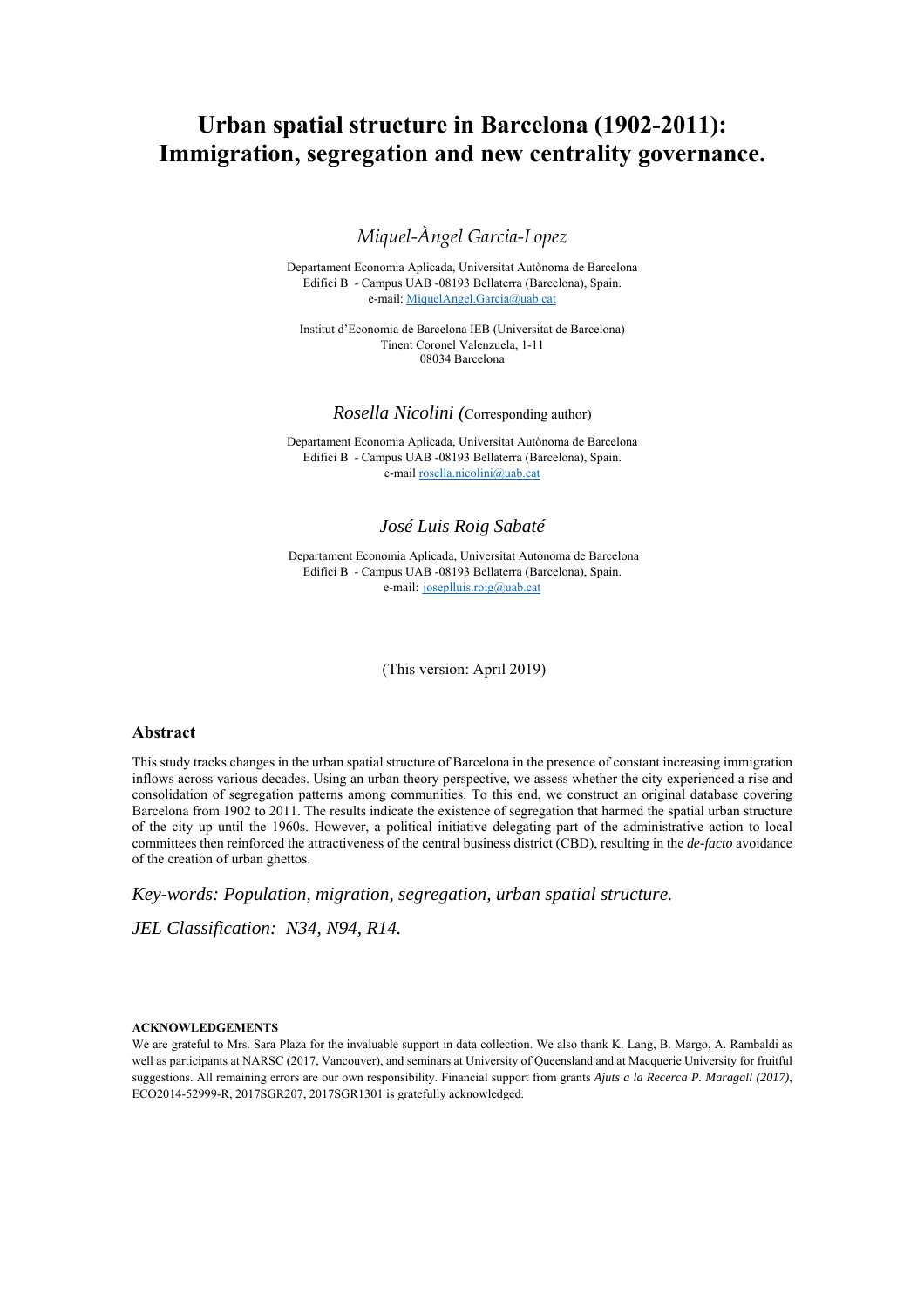## **Urban spatial structure in Barcelona (1902-2011): Immigration, segregation and new centrality governance.**

*Miquel-Àngel Garcia-Lopez* 

Departament Economia Aplicada, Universitat Autònoma de Barcelona Edifici B - Campus UAB -08193 Bellaterra (Barcelona), Spain. e-mail: MiquelAngel.Garcia@uab.cat

Institut d'Economia de Barcelona IEB (Universitat de Barcelona) Tinent Coronel Valenzuela, 1-11 08034 Barcelona

#### *Rosella Nicolini (*Corresponding author)

Departament Economia Aplicada, Universitat Autònoma de Barcelona Edifici B - Campus UAB -08193 Bellaterra (Barcelona), Spain. e-mail rosella.nicolini@uab.cat

### *José Luis Roig Sabaté*

 Departament Economia Aplicada, Universitat Autònoma de Barcelona Edifici B - Campus UAB -08193 Bellaterra (Barcelona), Spain. e-mail: joseplluis.roig@uab.cat

(This version: April 2019)

### **Abstract**

This study tracks changes in the urban spatial structure of Barcelona in the presence of constant increasing immigration inflows across various decades. Using an urban theory perspective, we assess whether the city experienced a rise and consolidation of segregation patterns among communities. To this end, we construct an original database covering Barcelona from 1902 to 2011. The results indicate the existence of segregation that harmed the spatial urban structure of the city up until the 1960s. However, a political initiative delegating part of the administrative action to local committees then reinforced the attractiveness of the central business district (CBD), resulting in the *de-facto* avoidance of the creation of urban ghettos.

*Key-words: Population, migration, segregation, urban spatial structure.* 

*JEL Classification: N34, N94, R14.* 

#### **ACKNOWLEDGEMENTS**

We are grateful to Mrs. Sara Plaza for the invaluable support in data collection. We also thank K. Lang, B. Margo, A. Rambaldi as well as participants at NARSC (2017, Vancouver), and seminars at University of Queensland and at Macquerie University for fruitful suggestions. All remaining errors are our own responsibility. Financial support from grants *Ajuts a la Recerca P. Maragall (2017)*, ECO2014-52999-R, 2017SGR207, 2017SGR1301 is gratefully acknowledged.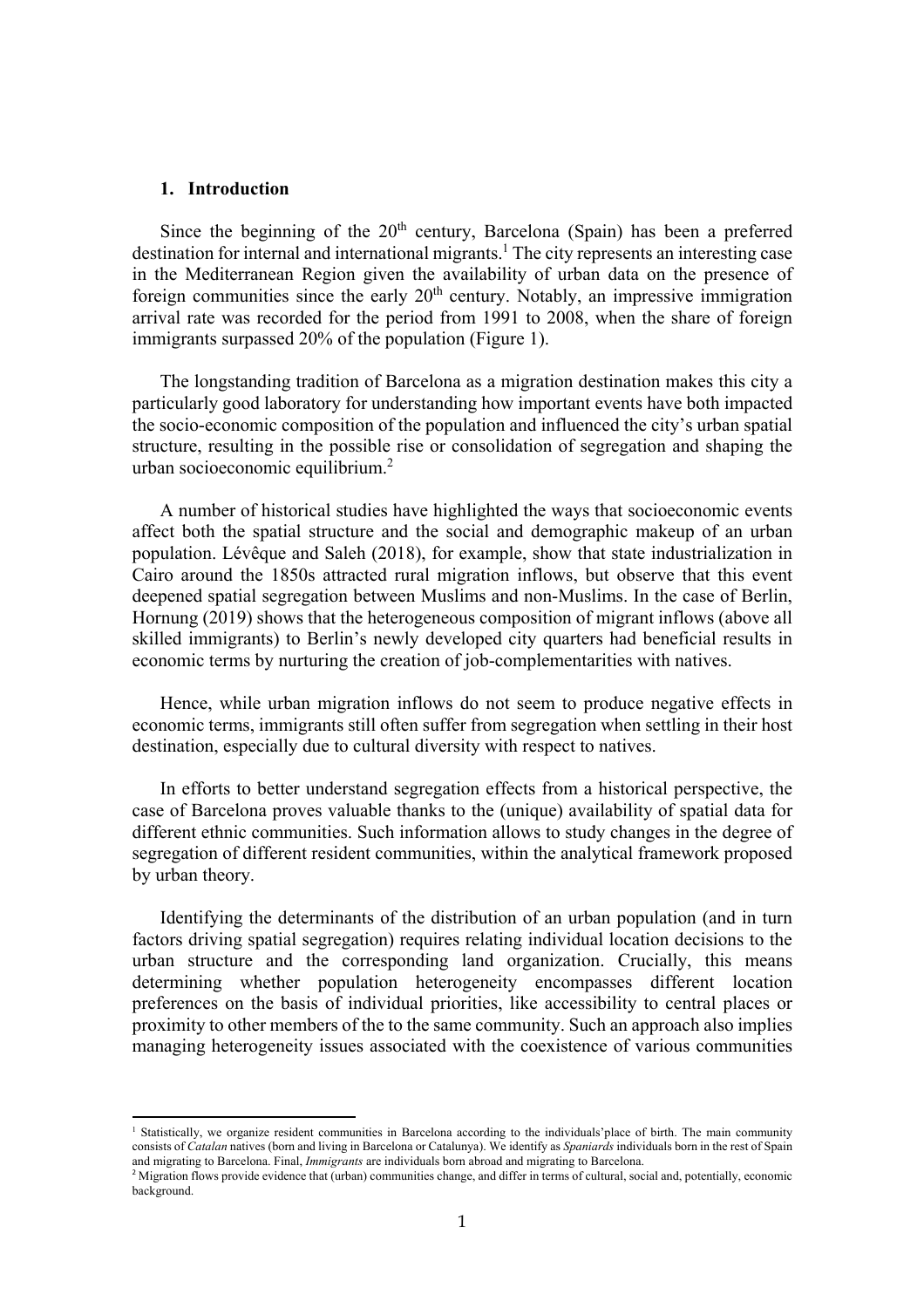### **1. Introduction**

Since the beginning of the  $20<sup>th</sup>$  century, Barcelona (Spain) has been a preferred destination for internal and international migrants.<sup>1</sup> The city represents an interesting case in the Mediterranean Region given the availability of urban data on the presence of foreign communities since the early  $20<sup>th</sup>$  century. Notably, an impressive immigration arrival rate was recorded for the period from 1991 to 2008, when the share of foreign immigrants surpassed 20% of the population (Figure 1).

The longstanding tradition of Barcelona as a migration destination makes this city a particularly good laboratory for understanding how important events have both impacted the socio-economic composition of the population and influenced the city's urban spatial structure, resulting in the possible rise or consolidation of segregation and shaping the urban socioeconomic equilibrium.2

A number of historical studies have highlighted the ways that socioeconomic events affect both the spatial structure and the social and demographic makeup of an urban population. Lévêque and Saleh (2018), for example, show that state industrialization in Cairo around the 1850s attracted rural migration inflows, but observe that this event deepened spatial segregation between Muslims and non-Muslims. In the case of Berlin, Hornung (2019) shows that the heterogeneous composition of migrant inflows (above all skilled immigrants) to Berlin's newly developed city quarters had beneficial results in economic terms by nurturing the creation of job-complementarities with natives.

Hence, while urban migration inflows do not seem to produce negative effects in economic terms, immigrants still often suffer from segregation when settling in their host destination, especially due to cultural diversity with respect to natives.

In efforts to better understand segregation effects from a historical perspective, the case of Barcelona proves valuable thanks to the (unique) availability of spatial data for different ethnic communities. Such information allows to study changes in the degree of segregation of different resident communities, within the analytical framework proposed by urban theory.

Identifying the determinants of the distribution of an urban population (and in turn factors driving spatial segregation) requires relating individual location decisions to the urban structure and the corresponding land organization. Crucially, this means determining whether population heterogeneity encompasses different location preferences on the basis of individual priorities, like accessibility to central places or proximity to other members of the to the same community. Such an approach also implies managing heterogeneity issues associated with the coexistence of various communities

<sup>&</sup>lt;sup>1</sup> Statistically, we organize resident communities in Barcelona according to the individuals' place of birth. The main community consists of *Catalan* natives (born and living in Barcelona or Catalunya). We identify as *Spaniards* individuals born in the rest of Spain and migrating to Barcelona. Final, *Immigrants* are individuals born abroad and migrating to Barcelona.

<sup>&</sup>lt;sup>2</sup> Migration flows provide evidence that (urban) communities change, and differ in terms of cultural, social and, potentially, economic background.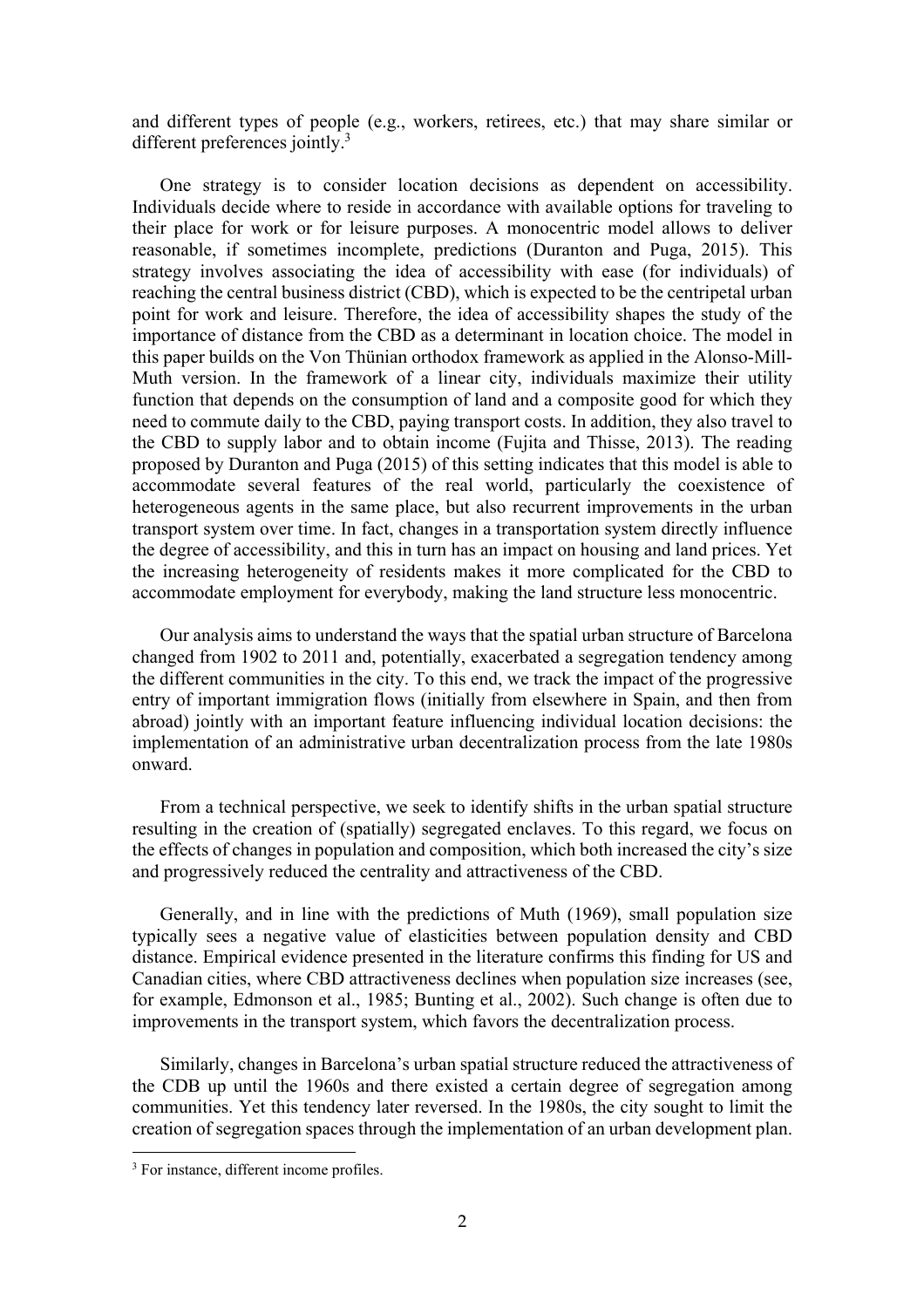and different types of people (e.g., workers, retirees, etc.) that may share similar or different preferences jointly.<sup>3</sup>

One strategy is to consider location decisions as dependent on accessibility. Individuals decide where to reside in accordance with available options for traveling to their place for work or for leisure purposes. A monocentric model allows to deliver reasonable, if sometimes incomplete, predictions (Duranton and Puga, 2015). This strategy involves associating the idea of accessibility with ease (for individuals) of reaching the central business district (CBD), which is expected to be the centripetal urban point for work and leisure. Therefore, the idea of accessibility shapes the study of the importance of distance from the CBD as a determinant in location choice. The model in this paper builds on the Von Thünian orthodox framework as applied in the Alonso-Mill-Muth version. In the framework of a linear city, individuals maximize their utility function that depends on the consumption of land and a composite good for which they need to commute daily to the CBD, paying transport costs. In addition, they also travel to the CBD to supply labor and to obtain income (Fujita and Thisse, 2013). The reading proposed by Duranton and Puga (2015) of this setting indicates that this model is able to accommodate several features of the real world, particularly the coexistence of heterogeneous agents in the same place, but also recurrent improvements in the urban transport system over time. In fact, changes in a transportation system directly influence the degree of accessibility, and this in turn has an impact on housing and land prices. Yet the increasing heterogeneity of residents makes it more complicated for the CBD to accommodate employment for everybody, making the land structure less monocentric.

Our analysis aims to understand the ways that the spatial urban structure of Barcelona changed from 1902 to 2011 and, potentially, exacerbated a segregation tendency among the different communities in the city. To this end, we track the impact of the progressive entry of important immigration flows (initially from elsewhere in Spain, and then from abroad) jointly with an important feature influencing individual location decisions: the implementation of an administrative urban decentralization process from the late 1980s onward.

From a technical perspective, we seek to identify shifts in the urban spatial structure resulting in the creation of (spatially) segregated enclaves. To this regard, we focus on the effects of changes in population and composition, which both increased the city's size and progressively reduced the centrality and attractiveness of the CBD.

Generally, and in line with the predictions of Muth (1969), small population size typically sees a negative value of elasticities between population density and CBD distance. Empirical evidence presented in the literature confirms this finding for US and Canadian cities, where CBD attractiveness declines when population size increases (see, for example, Edmonson et al., 1985; Bunting et al., 2002). Such change is often due to improvements in the transport system, which favors the decentralization process.

Similarly, changes in Barcelona's urban spatial structure reduced the attractiveness of the CDB up until the 1960s and there existed a certain degree of segregation among communities. Yet this tendency later reversed. In the 1980s, the city sought to limit the creation of segregation spaces through the implementation of an urban development plan.

<sup>&</sup>lt;sup>3</sup> For instance, different income profiles.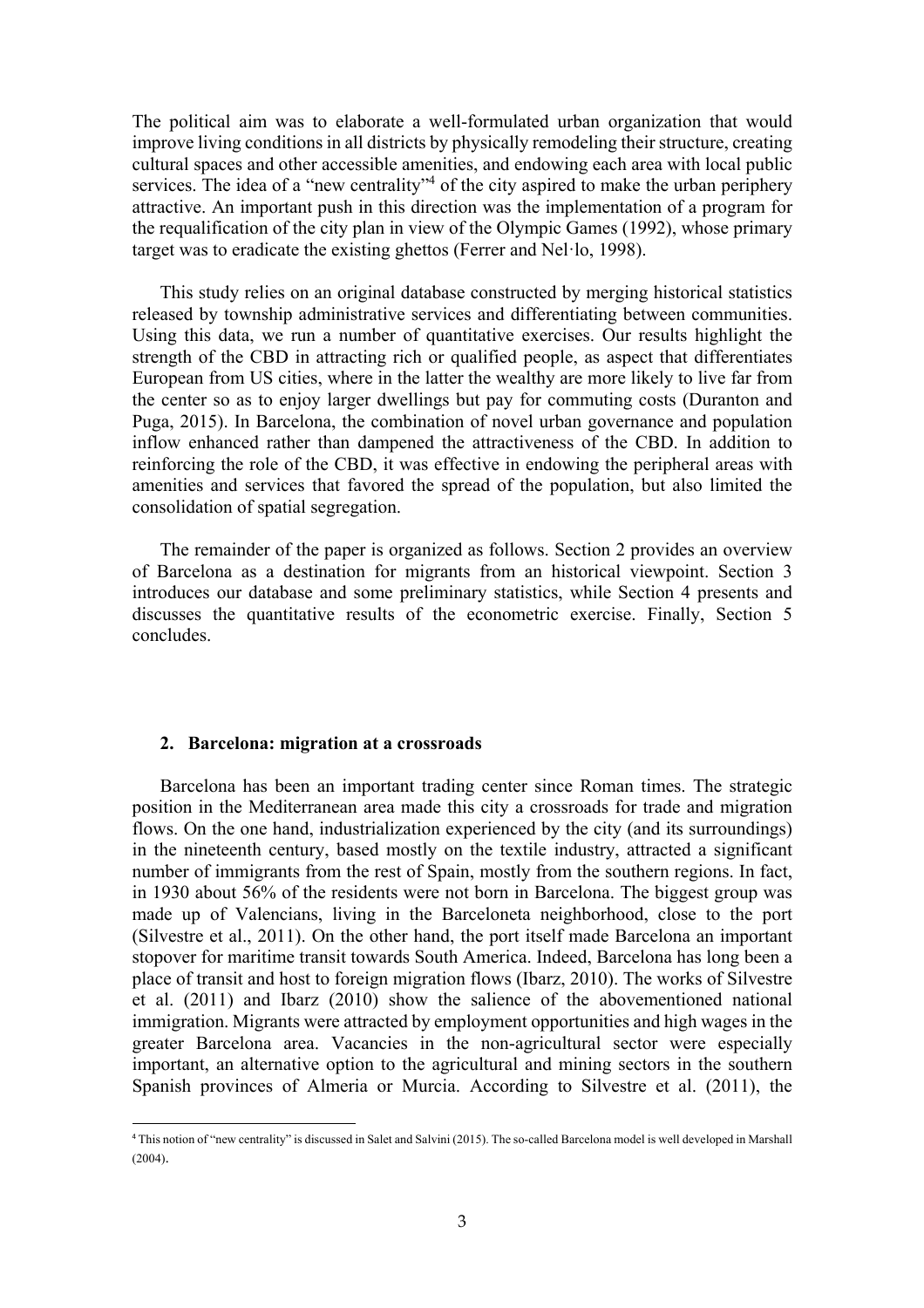The political aim was to elaborate a well-formulated urban organization that would improve living conditions in all districts by physically remodeling their structure, creating cultural spaces and other accessible amenities, and endowing each area with local public services. The idea of a "new centrality"<sup>4</sup> of the city aspired to make the urban periphery attractive. An important push in this direction was the implementation of a program for the requalification of the city plan in view of the Olympic Games (1992), whose primary target was to eradicate the existing ghettos (Ferrer and Nel·lo, 1998).

This study relies on an original database constructed by merging historical statistics released by township administrative services and differentiating between communities. Using this data, we run a number of quantitative exercises. Our results highlight the strength of the CBD in attracting rich or qualified people, as aspect that differentiates European from US cities, where in the latter the wealthy are more likely to live far from the center so as to enjoy larger dwellings but pay for commuting costs (Duranton and Puga, 2015). In Barcelona, the combination of novel urban governance and population inflow enhanced rather than dampened the attractiveness of the CBD. In addition to reinforcing the role of the CBD, it was effective in endowing the peripheral areas with amenities and services that favored the spread of the population, but also limited the consolidation of spatial segregation.

The remainder of the paper is organized as follows. Section 2 provides an overview of Barcelona as a destination for migrants from an historical viewpoint. Section 3 introduces our database and some preliminary statistics, while Section 4 presents and discusses the quantitative results of the econometric exercise. Finally, Section 5 concludes.

## **2. Barcelona: migration at a crossroads**

Barcelona has been an important trading center since Roman times. The strategic position in the Mediterranean area made this city a crossroads for trade and migration flows. On the one hand, industrialization experienced by the city (and its surroundings) in the nineteenth century, based mostly on the textile industry, attracted a significant number of immigrants from the rest of Spain, mostly from the southern regions. In fact, in 1930 about 56% of the residents were not born in Barcelona. The biggest group was made up of Valencians, living in the Barceloneta neighborhood, close to the port (Silvestre et al., 2011). On the other hand, the port itself made Barcelona an important stopover for maritime transit towards South America. Indeed, Barcelona has long been a place of transit and host to foreign migration flows (Ibarz, 2010). The works of Silvestre et al. (2011) and Ibarz (2010) show the salience of the abovementioned national immigration. Migrants were attracted by employment opportunities and high wages in the greater Barcelona area. Vacancies in the non-agricultural sector were especially important, an alternative option to the agricultural and mining sectors in the southern Spanish provinces of Almeria or Murcia. According to Silvestre et al. (2011), the

<sup>4</sup> This notion of "new centrality" is discussed in Salet and Salvini (2015). The so-called Barcelona model is well developed in Marshall (2004).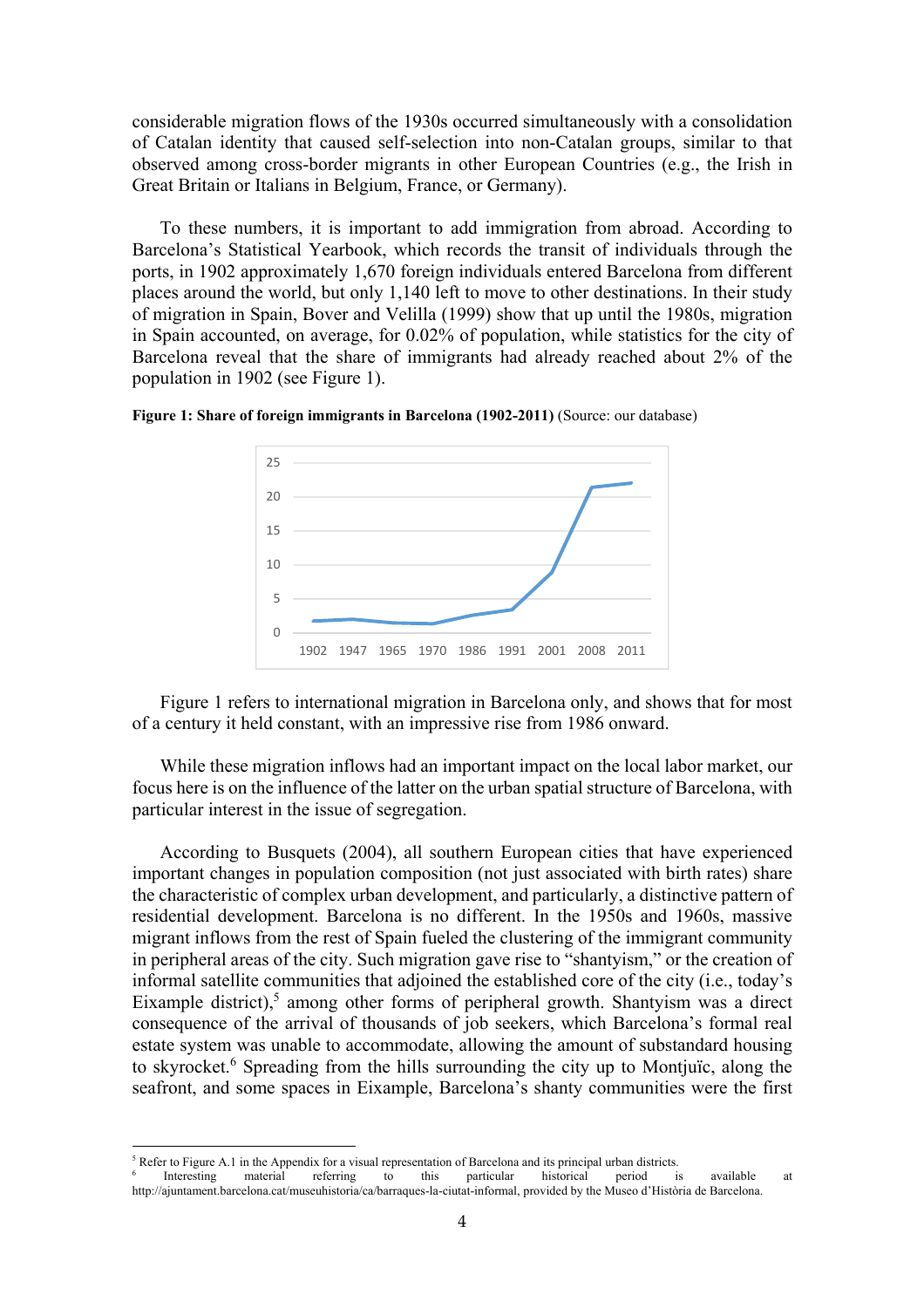considerable migration flows of the 1930s occurred simultaneously with a consolidation of Catalan identity that caused self-selection into non-Catalan groups, similar to that observed among cross-border migrants in other European Countries (e.g., the Irish in Great Britain or Italians in Belgium, France, or Germany).

To these numbers, it is important to add immigration from abroad. According to Barcelona's Statistical Yearbook, which records the transit of individuals through the ports, in 1902 approximately 1,670 foreign individuals entered Barcelona from different places around the world, but only 1,140 left to move to other destinations. In their study of migration in Spain, Bover and Velilla (1999) show that up until the 1980s, migration in Spain accounted, on average, for 0.02% of population, while statistics for the city of Barcelona reveal that the share of immigrants had already reached about 2% of the population in 1902 (see Figure 1).





Figure 1 refers to international migration in Barcelona only, and shows that for most of a century it held constant, with an impressive rise from 1986 onward.

While these migration inflows had an important impact on the local labor market, our focus here is on the influence of the latter on the urban spatial structure of Barcelona, with particular interest in the issue of segregation.

According to Busquets (2004), all southern European cities that have experienced important changes in population composition (not just associated with birth rates) share the characteristic of complex urban development, and particularly, a distinctive pattern of residential development. Barcelona is no different. In the 1950s and 1960s, massive migrant inflows from the rest of Spain fueled the clustering of the immigrant community in peripheral areas of the city. Such migration gave rise to "shantyism," or the creation of informal satellite communities that adjoined the established core of the city (i.e., today's Eixample district),<sup>5</sup> among other forms of peripheral growth. Shantyism was a direct consequence of the arrival of thousands of job seekers, which Barcelona's formal real estate system was unable to accommodate, allowing the amount of substandard housing to skyrocket.<sup>6</sup> Spreading from the hills surrounding the city up to Montjuïc, along the seafront, and some spaces in Eixample, Barcelona's shanty communities were the first

<sup>5</sup> Refer to Figure A.1 in the Appendix for a visual representation of Barcelona and its principal urban districts.<br>
Interesting material referring to this particular historical period is

Interesting material referring to this particular historical period is available at http://ajuntament.barcelona.cat/museuhistoria/ca/barraques-la-ciutat-informal, provided by the Museo d'Història de Barcelona.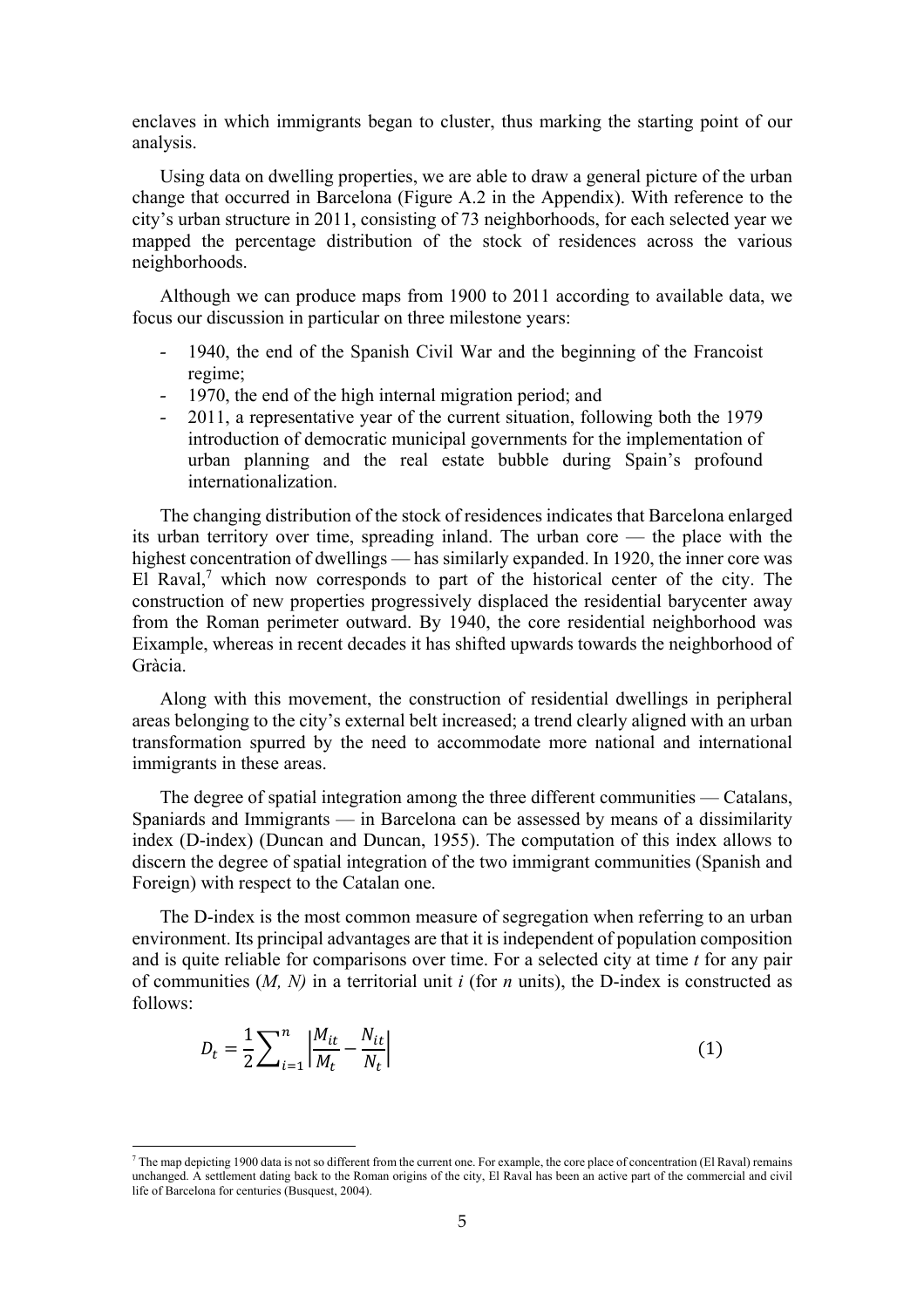enclaves in which immigrants began to cluster, thus marking the starting point of our analysis.

Using data on dwelling properties, we are able to draw a general picture of the urban change that occurred in Barcelona (Figure A.2 in the Appendix). With reference to the city's urban structure in 2011, consisting of 73 neighborhoods, for each selected year we mapped the percentage distribution of the stock of residences across the various neighborhoods.

Although we can produce maps from 1900 to 2011 according to available data, we focus our discussion in particular on three milestone years:

- 1940, the end of the Spanish Civil War and the beginning of the Francoist regime;
- 1970, the end of the high internal migration period; and
- 2011, a representative year of the current situation, following both the 1979 introduction of democratic municipal governments for the implementation of urban planning and the real estate bubble during Spain's profound internationalization.

The changing distribution of the stock of residences indicates that Barcelona enlarged its urban territory over time, spreading inland. The urban core — the place with the highest concentration of dwellings — has similarly expanded. In 1920, the inner core was El Raval, $^7$  which now corresponds to part of the historical center of the city. The construction of new properties progressively displaced the residential barycenter away from the Roman perimeter outward. By 1940, the core residential neighborhood was Eixample, whereas in recent decades it has shifted upwards towards the neighborhood of Gràcia.

Along with this movement, the construction of residential dwellings in peripheral areas belonging to the city's external belt increased; a trend clearly aligned with an urban transformation spurred by the need to accommodate more national and international immigrants in these areas.

The degree of spatial integration among the three different communities — Catalans, Spaniards and Immigrants — in Barcelona can be assessed by means of a dissimilarity index (D-index) (Duncan and Duncan, 1955). The computation of this index allows to discern the degree of spatial integration of the two immigrant communities (Spanish and Foreign) with respect to the Catalan one.

The D-index is the most common measure of segregation when referring to an urban environment. Its principal advantages are that it is independent of population composition and is quite reliable for comparisons over time. For a selected city at time *t* for any pair of communities (*M, N)* in a territorial unit *i* (for *n* units), the D-index is constructed as follows:

$$
D_t = \frac{1}{2} \sum_{i=1}^{n} \left| \frac{M_{it}}{M_t} - \frac{N_{it}}{N_t} \right|
$$
 (1)

 $^7$  The map depicting 1900 data is not so different from the current one. For example, the core place of concentration (El Raval) remains unchanged. A settlement dating back to the Roman origins of the city, El Raval has been an active part of the commercial and civil life of Barcelona for centuries (Busquest, 2004).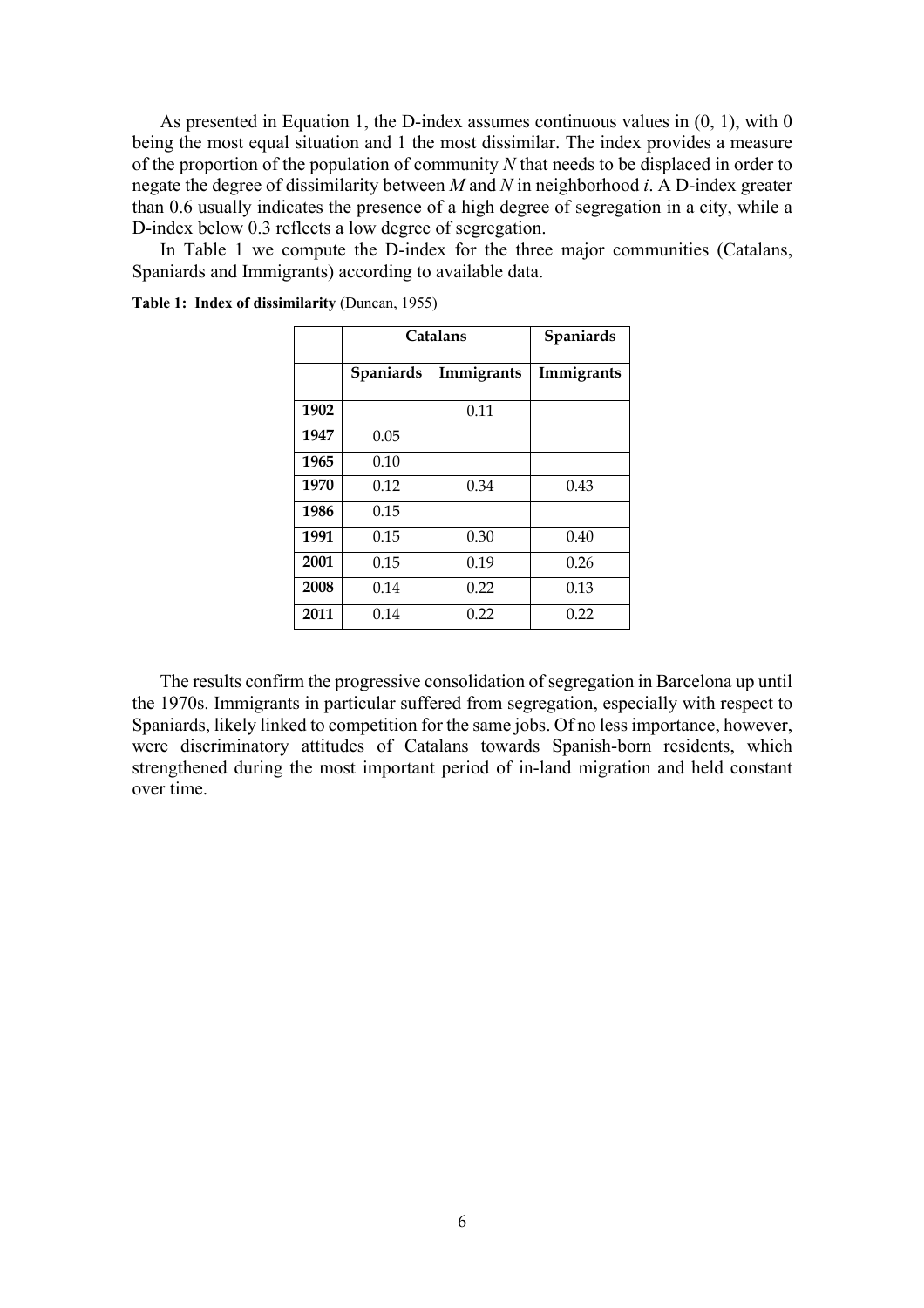As presented in Equation 1, the D-index assumes continuous values in (0, 1), with 0 being the most equal situation and 1 the most dissimilar. The index provides a measure of the proportion of the population of community *N* that needs to be displaced in order to negate the degree of dissimilarity between *M* and *N* in neighborhood *i*. A D-index greater than 0.6 usually indicates the presence of a high degree of segregation in a city, while a D-index below 0.3 reflects a low degree of segregation.

In Table 1 we compute the D-index for the three major communities (Catalans, Spaniards and Immigrants) according to available data.

|      |           | Catalans   | Spaniards  |
|------|-----------|------------|------------|
|      | Spaniards | Immigrants | Immigrants |
| 1902 |           | 0.11       |            |
| 1947 | 0.05      |            |            |
| 1965 | 0.10      |            |            |
| 1970 | 0.12      | 0.34       | 0.43       |
| 1986 | 0.15      |            |            |
| 1991 | 0.15      | 0.30       | 0.40       |
| 2001 | 0.15      | 0.19       | 0.26       |
| 2008 | 0.14      | 0.22       | 0.13       |
| 2011 | 0.14      | 0.22       | 0.22       |

**Table 1: Index of dissimilarity** (Duncan, 1955)

The results confirm the progressive consolidation of segregation in Barcelona up until the 1970s. Immigrants in particular suffered from segregation, especially with respect to Spaniards, likely linked to competition for the same jobs. Of no less importance, however, were discriminatory attitudes of Catalans towards Spanish-born residents, which strengthened during the most important period of in-land migration and held constant over time.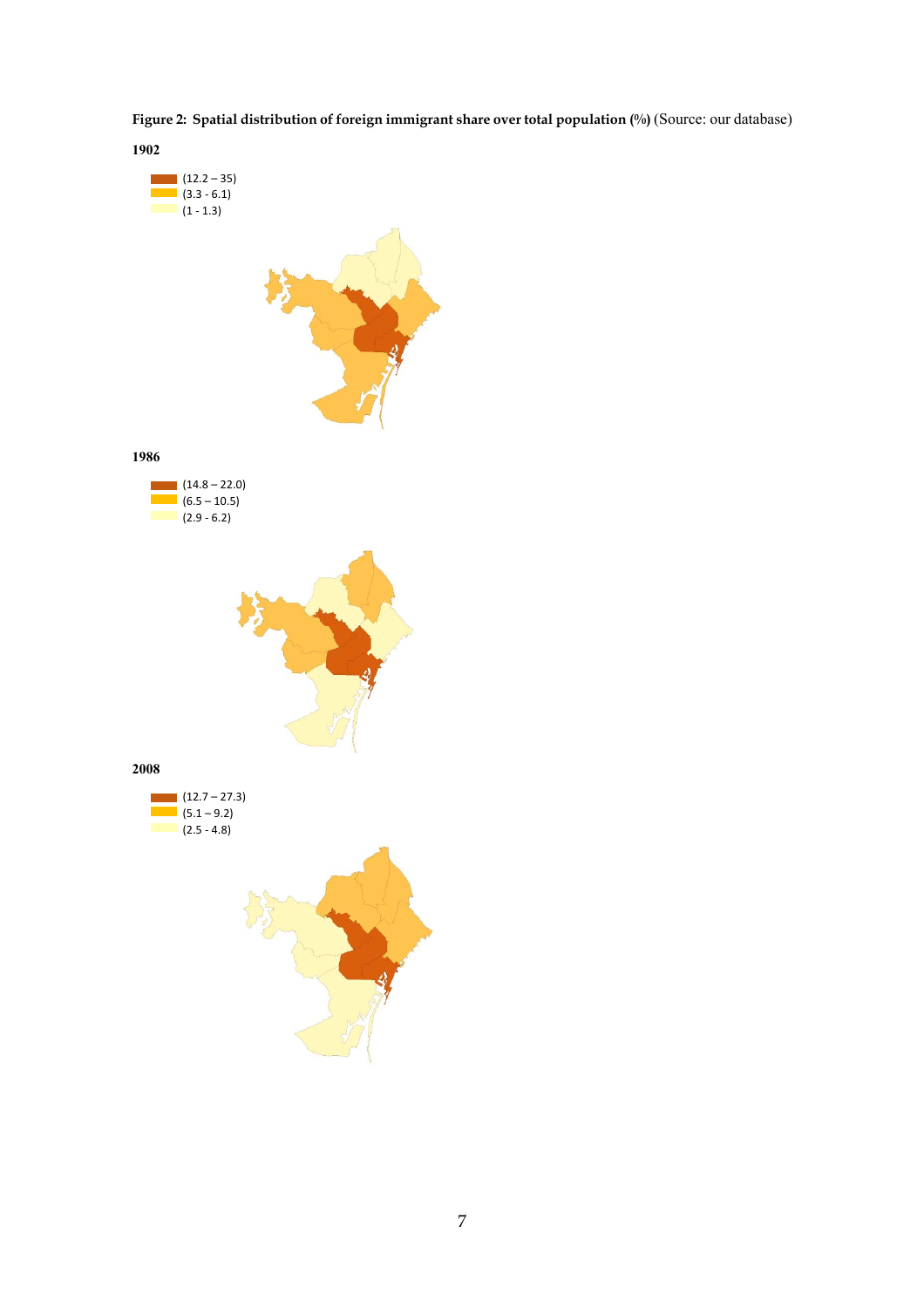Figure 2: Spatial distribution of foreign immigrant share over total population (%) (Source: our database)

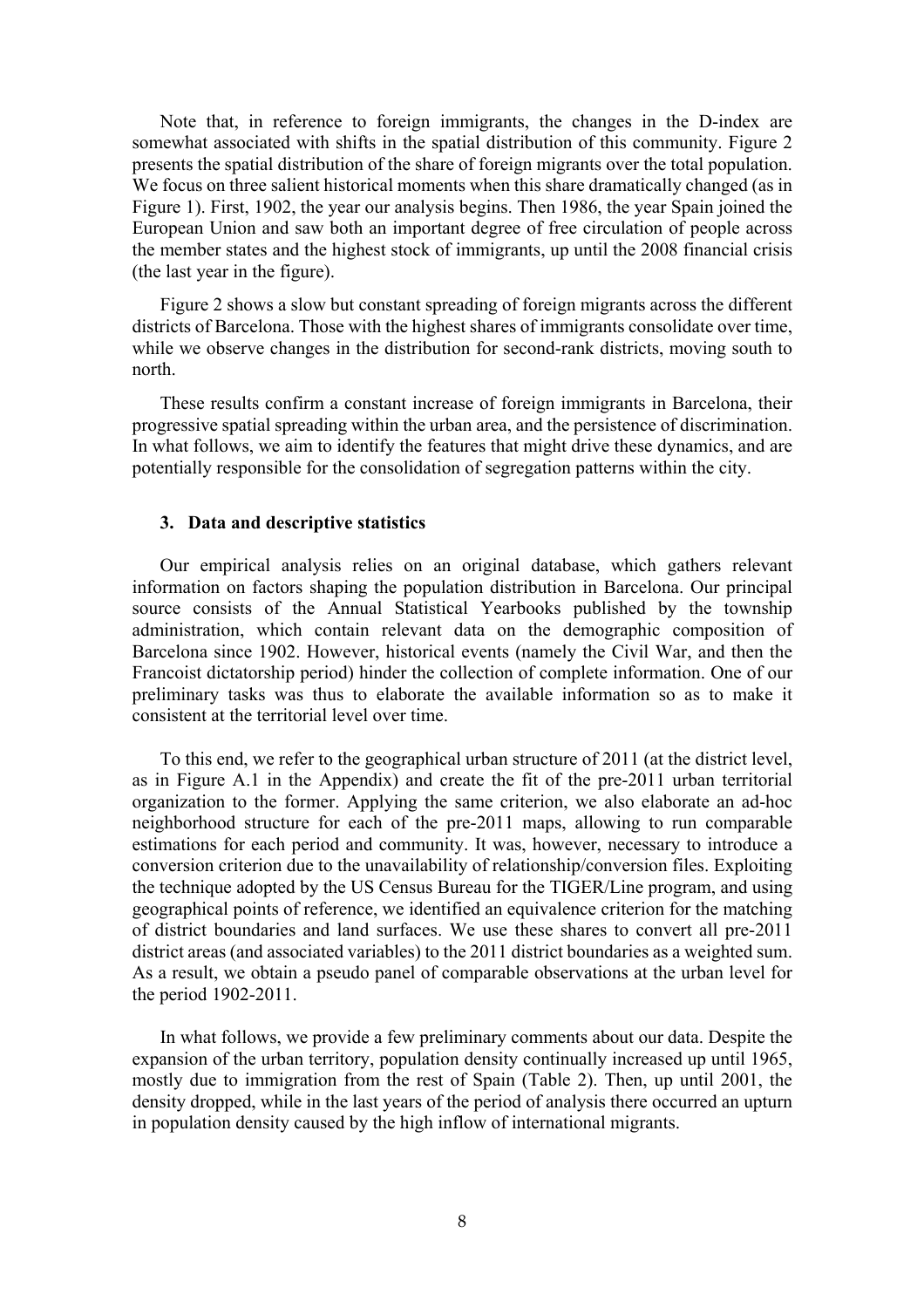Note that, in reference to foreign immigrants, the changes in the D-index are somewhat associated with shifts in the spatial distribution of this community. Figure 2 presents the spatial distribution of the share of foreign migrants over the total population. We focus on three salient historical moments when this share dramatically changed (as in Figure 1). First, 1902, the year our analysis begins. Then 1986, the year Spain joined the European Union and saw both an important degree of free circulation of people across the member states and the highest stock of immigrants, up until the 2008 financial crisis (the last year in the figure).

Figure 2 shows a slow but constant spreading of foreign migrants across the different districts of Barcelona. Those with the highest shares of immigrants consolidate over time, while we observe changes in the distribution for second-rank districts, moving south to north.

These results confirm a constant increase of foreign immigrants in Barcelona, their progressive spatial spreading within the urban area, and the persistence of discrimination. In what follows, we aim to identify the features that might drive these dynamics, and are potentially responsible for the consolidation of segregation patterns within the city.

### **3. Data and descriptive statistics**

Our empirical analysis relies on an original database, which gathers relevant information on factors shaping the population distribution in Barcelona. Our principal source consists of the Annual Statistical Yearbooks published by the township administration, which contain relevant data on the demographic composition of Barcelona since 1902. However, historical events (namely the Civil War, and then the Francoist dictatorship period) hinder the collection of complete information. One of our preliminary tasks was thus to elaborate the available information so as to make it consistent at the territorial level over time.

To this end, we refer to the geographical urban structure of 2011 (at the district level, as in Figure A.1 in the Appendix) and create the fit of the pre-2011 urban territorial organization to the former. Applying the same criterion, we also elaborate an ad-hoc neighborhood structure for each of the pre-2011 maps, allowing to run comparable estimations for each period and community. It was, however, necessary to introduce a conversion criterion due to the unavailability of relationship/conversion files. Exploiting the technique adopted by the US Census Bureau for the TIGER/Line program, and using geographical points of reference, we identified an equivalence criterion for the matching of district boundaries and land surfaces. We use these shares to convert all pre-2011 district areas (and associated variables) to the 2011 district boundaries as a weighted sum. As a result, we obtain a pseudo panel of comparable observations at the urban level for the period 1902-2011.

In what follows, we provide a few preliminary comments about our data. Despite the expansion of the urban territory, population density continually increased up until 1965, mostly due to immigration from the rest of Spain (Table 2). Then, up until 2001, the density dropped, while in the last years of the period of analysis there occurred an upturn in population density caused by the high inflow of international migrants.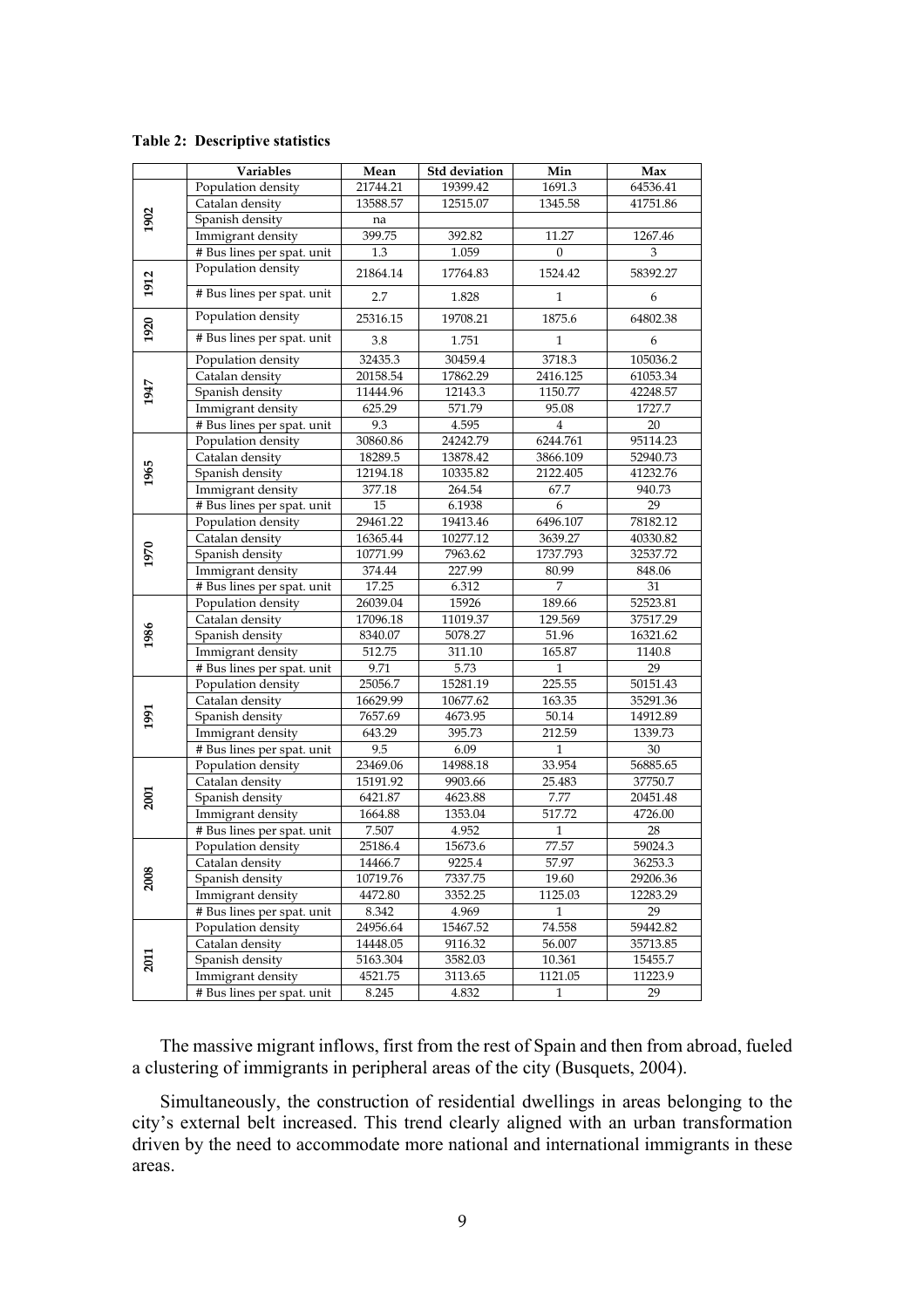|      | Variables                  | Mean     | <b>Std deviation</b> | Min              | Max                       |
|------|----------------------------|----------|----------------------|------------------|---------------------------|
|      | Population density         | 21744.21 | 19399.42             | 1691.3           | 64536.41                  |
|      | Catalan density            | 13588.57 | 12515.07             | 1345.58          | 41751.86                  |
| 1902 | Spanish density            | na       |                      |                  |                           |
|      | Immigrant density          | 399.75   | 392.82               | 11.27            | 1267.46                   |
|      | # Bus lines per spat. unit | 1.3      | 1.059                | $\boldsymbol{0}$ | $\ensuremath{\mathbf{3}}$ |
| 1912 | Population density         | 21864.14 | 17764.83             | 1524.42          | 58392.27                  |
|      | # Bus lines per spat. unit | 2.7      | 1.828                | $\mathbf{1}$     | 6                         |
| 1920 | Population density         | 25316.15 | 19708.21             | 1875.6           | 64802.38                  |
|      | # Bus lines per spat. unit | 3.8      | 1.751                | $\mathbf{1}$     | 6                         |
|      | Population density         | 32435.3  | 30459.4              | 3718.3           | 105036.2                  |
|      | Catalan density            | 20158.54 | 17862.29             | 2416.125         | 61053.34                  |
| 1947 | Spanish density            | 11444.96 | 12143.3              | 1150.77          | 42248.57                  |
|      | Immigrant density          | 625.29   | 571.79               | 95.08            | 1727.7                    |
|      | # Bus lines per spat. unit | 9.3      | 4.595                | $\overline{4}$   | 20                        |
|      | Population density         | 30860.86 | 24242.79             | 6244.761         | 95114.23                  |
|      | Catalan density            | 18289.5  | 13878.42             | 3866.109         | 52940.73                  |
| 1965 | Spanish density            | 12194.18 | 10335.82             | 2122.405         | 41232.76                  |
|      | Immigrant density          | 377.18   | 264.54               | 67.7             | 940.73                    |
|      | # Bus lines per spat. unit | 15       | 6.1938               | 6                | 29                        |
|      | Population density         | 29461.22 | 19413.46             | 6496.107         | 78182.12                  |
|      | Catalan density            | 16365.44 | 10277.12             | 3639.27          | 40330.82                  |
| 1970 | Spanish density            | 10771.99 | 7963.62              | 1737.793         | 32537.72                  |
|      | Immigrant density          | 374.44   | 227.99               | 80.99            | 848.06                    |
|      | # Bus lines per spat. unit | 17.25    | 6.312                | 7                | 31                        |
|      | Population density         | 26039.04 | 15926                | 189.66           | 52523.81                  |
|      | Catalan density            | 17096.18 | 11019.37             | 129.569          | 37517.29                  |
| 1986 | Spanish density            | 8340.07  | 5078.27              | 51.96            | 16321.62                  |
|      | Immigrant density          | 512.75   | 311.10               | 165.87           | 1140.8                    |
|      | # Bus lines per spat. unit | 9.71     | 5.73                 | $\mathbf{1}$     | 29                        |
|      | Population density         | 25056.7  | 15281.19             | 225.55           | 50151.43                  |
|      | Catalan density            | 16629.99 | 10677.62             | 163.35           | 35291.36                  |
| 1991 | Spanish density            | 7657.69  | 4673.95              | 50.14            | 14912.89                  |
|      | Immigrant density          | 643.29   | 395.73               | 212.59           | 1339.73                   |
|      | # Bus lines per spat. unit | 9.5      | 6.09                 | 1                | 30                        |
|      | Population density         | 23469.06 | 14988.18             | 33.954           | 56885.65                  |
|      | Catalan density            | 15191.92 | 9903.66              | 25.483           | 37750.7                   |
| 2001 | Spanish density            | 6421.87  | 4623.88              | 7.77             | 20451.48                  |
|      | Immigrant density          | 1664.88  | 1353.04              | 517.72           | 4726.00                   |
|      | # Bus lines per spat. unit | 7.507    | 4.952                | $\mathbf{1}$     | 28                        |
|      | Population density         | 25186.4  | 15673.6              | 77.57            | 59024.3                   |
|      | Catalan density            | 14466.7  | 9225.4               | 57.97            | 36253.3                   |
| 2008 | Spanish density            | 10719.76 | 7337.75              | 19.60            | 29206.36                  |
|      | Immigrant density          | 4472.80  | 3352.25              | 1125.03          | 12283.29                  |
|      | # Bus lines per spat. unit | 8.342    | 4.969                | 1                | 29                        |
|      | Population density         | 24956.64 | 15467.52             | 74.558           | 59442.82                  |
|      | Catalan density            | 14448.05 | 9116.32              | 56.007           | 35713.85                  |
| 2011 | Spanish density            | 5163.304 | 3582.03              | 10.361           | 15455.7                   |
|      | Immigrant density          | 4521.75  | 3113.65              | 1121.05          | 11223.9                   |
|      | # Bus lines per spat. unit | 8.245    | 4.832                | 1                | 29                        |

**Table 2: Descriptive statistics** 

The massive migrant inflows, first from the rest of Spain and then from abroad, fueled a clustering of immigrants in peripheral areas of the city (Busquets, 2004).

Simultaneously, the construction of residential dwellings in areas belonging to the city's external belt increased. This trend clearly aligned with an urban transformation driven by the need to accommodate more national and international immigrants in these areas.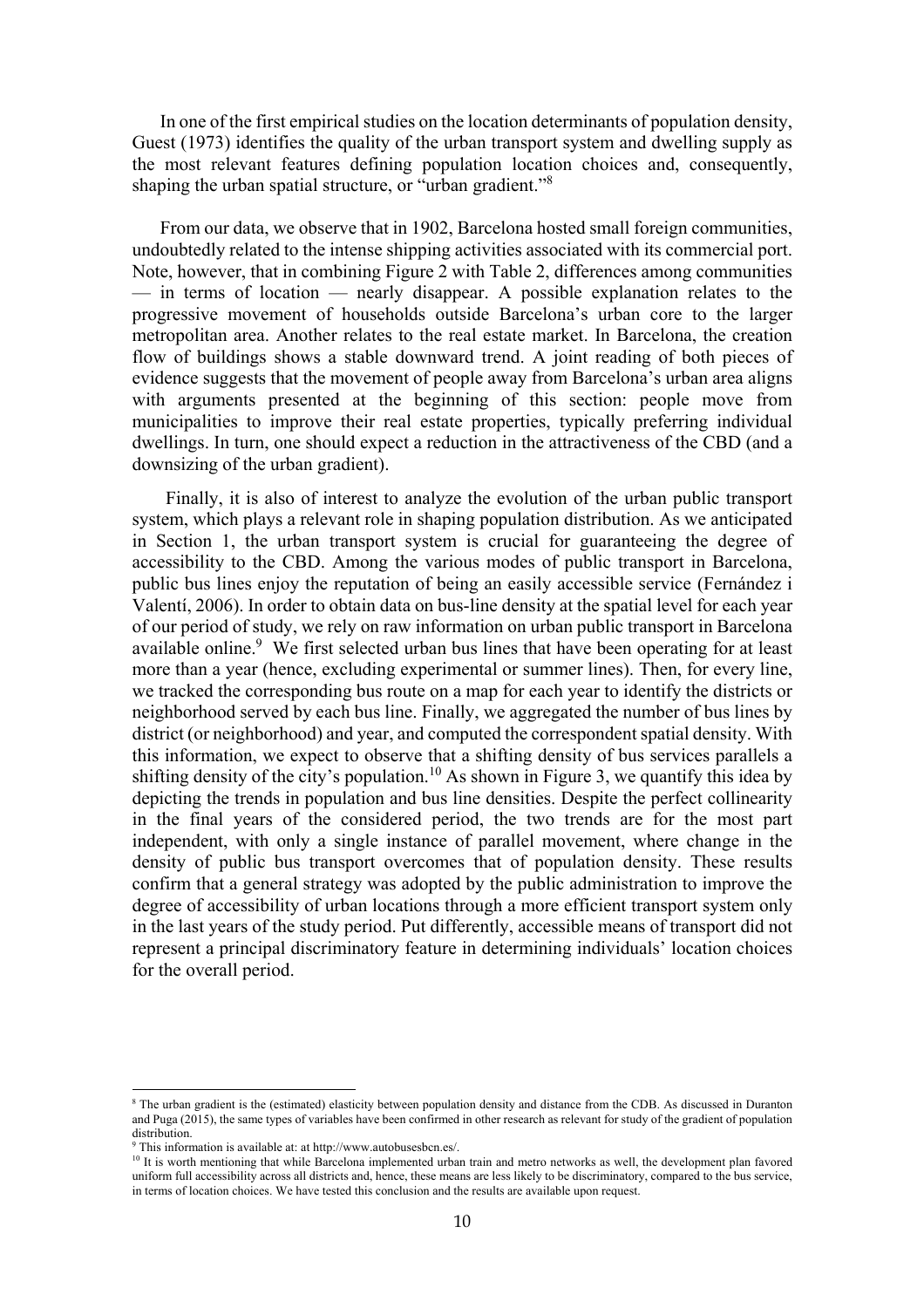In one of the first empirical studies on the location determinants of population density, Guest (1973) identifies the quality of the urban transport system and dwelling supply as the most relevant features defining population location choices and, consequently, shaping the urban spatial structure, or "urban gradient."<sup>8</sup>

From our data, we observe that in 1902, Barcelona hosted small foreign communities, undoubtedly related to the intense shipping activities associated with its commercial port. Note, however, that in combining Figure 2 with Table 2, differences among communities — in terms of location — nearly disappear. A possible explanation relates to the progressive movement of households outside Barcelona's urban core to the larger metropolitan area. Another relates to the real estate market. In Barcelona, the creation flow of buildings shows a stable downward trend. A joint reading of both pieces of evidence suggests that the movement of people away from Barcelona's urban area aligns with arguments presented at the beginning of this section: people move from municipalities to improve their real estate properties, typically preferring individual dwellings. In turn, one should expect a reduction in the attractiveness of the CBD (and a downsizing of the urban gradient).

Finally, it is also of interest to analyze the evolution of the urban public transport system, which plays a relevant role in shaping population distribution. As we anticipated in Section 1, the urban transport system is crucial for guaranteeing the degree of accessibility to the CBD. Among the various modes of public transport in Barcelona, public bus lines enjoy the reputation of being an easily accessible service (Fernández i Valentí, 2006). In order to obtain data on bus-line density at the spatial level for each year of our period of study, we rely on raw information on urban public transport in Barcelona available online.<sup>9</sup> We first selected urban bus lines that have been operating for at least more than a year (hence, excluding experimental or summer lines). Then, for every line, we tracked the corresponding bus route on a map for each year to identify the districts or neighborhood served by each bus line. Finally, we aggregated the number of bus lines by district (or neighborhood) and year, and computed the correspondent spatial density. With this information, we expect to observe that a shifting density of bus services parallels a shifting density of the city's population.<sup>10</sup> As shown in Figure 3, we quantify this idea by depicting the trends in population and bus line densities. Despite the perfect collinearity in the final years of the considered period, the two trends are for the most part independent, with only a single instance of parallel movement, where change in the density of public bus transport overcomes that of population density. These results confirm that a general strategy was adopted by the public administration to improve the degree of accessibility of urban locations through a more efficient transport system only in the last years of the study period. Put differently, accessible means of transport did not represent a principal discriminatory feature in determining individuals' location choices for the overall period.

<sup>&</sup>lt;sup>8</sup> The urban gradient is the (estimated) elasticity between population density and distance from the CDB. As discussed in Duranton and Puga (2015), the same types of variables have been confirmed in other research as relevant for study of the gradient of population distribution.

<sup>&</sup>lt;sup>9</sup> This information is available at: at http://www.autobusesbcn.es/.

<sup>&</sup>lt;sup>10</sup> It is worth mentioning that while Barcelona implemented urban train and metro networks as well, the development plan favored uniform full accessibility across all districts and, hence, these means are less likely to be discriminatory, compared to the bus service, in terms of location choices. We have tested this conclusion and the results are available upon request.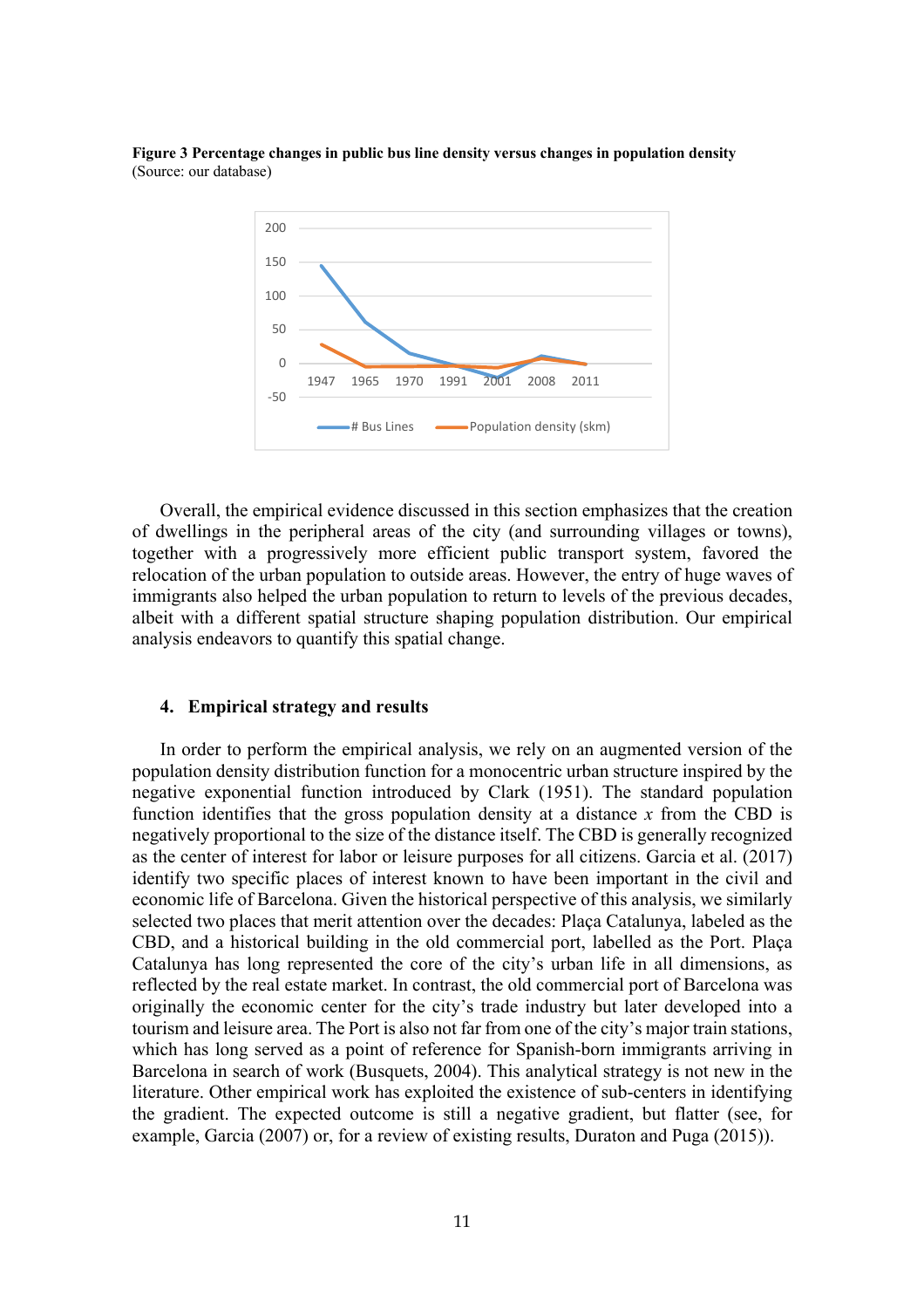#### **Figure 3 Percentage changes in public bus line density versus changes in population density**  (Source: our database)



Overall, the empirical evidence discussed in this section emphasizes that the creation of dwellings in the peripheral areas of the city (and surrounding villages or towns), together with a progressively more efficient public transport system, favored the relocation of the urban population to outside areas. However, the entry of huge waves of immigrants also helped the urban population to return to levels of the previous decades, albeit with a different spatial structure shaping population distribution. Our empirical analysis endeavors to quantify this spatial change.

## **4. Empirical strategy and results**

In order to perform the empirical analysis, we rely on an augmented version of the population density distribution function for a monocentric urban structure inspired by the negative exponential function introduced by Clark (1951). The standard population function identifies that the gross population density at a distance  $x$  from the CBD is negatively proportional to the size of the distance itself. The CBD is generally recognized as the center of interest for labor or leisure purposes for all citizens. Garcia et al. (2017) identify two specific places of interest known to have been important in the civil and economic life of Barcelona. Given the historical perspective of this analysis, we similarly selected two places that merit attention over the decades: Plaça Catalunya, labeled as the CBD, and a historical building in the old commercial port, labelled as the Port. Plaça Catalunya has long represented the core of the city's urban life in all dimensions, as reflected by the real estate market. In contrast, the old commercial port of Barcelona was originally the economic center for the city's trade industry but later developed into a tourism and leisure area. The Port is also not far from one of the city's major train stations, which has long served as a point of reference for Spanish-born immigrants arriving in Barcelona in search of work (Busquets, 2004). This analytical strategy is not new in the literature. Other empirical work has exploited the existence of sub-centers in identifying the gradient. The expected outcome is still a negative gradient, but flatter (see, for example, Garcia (2007) or, for a review of existing results, Duraton and Puga (2015)).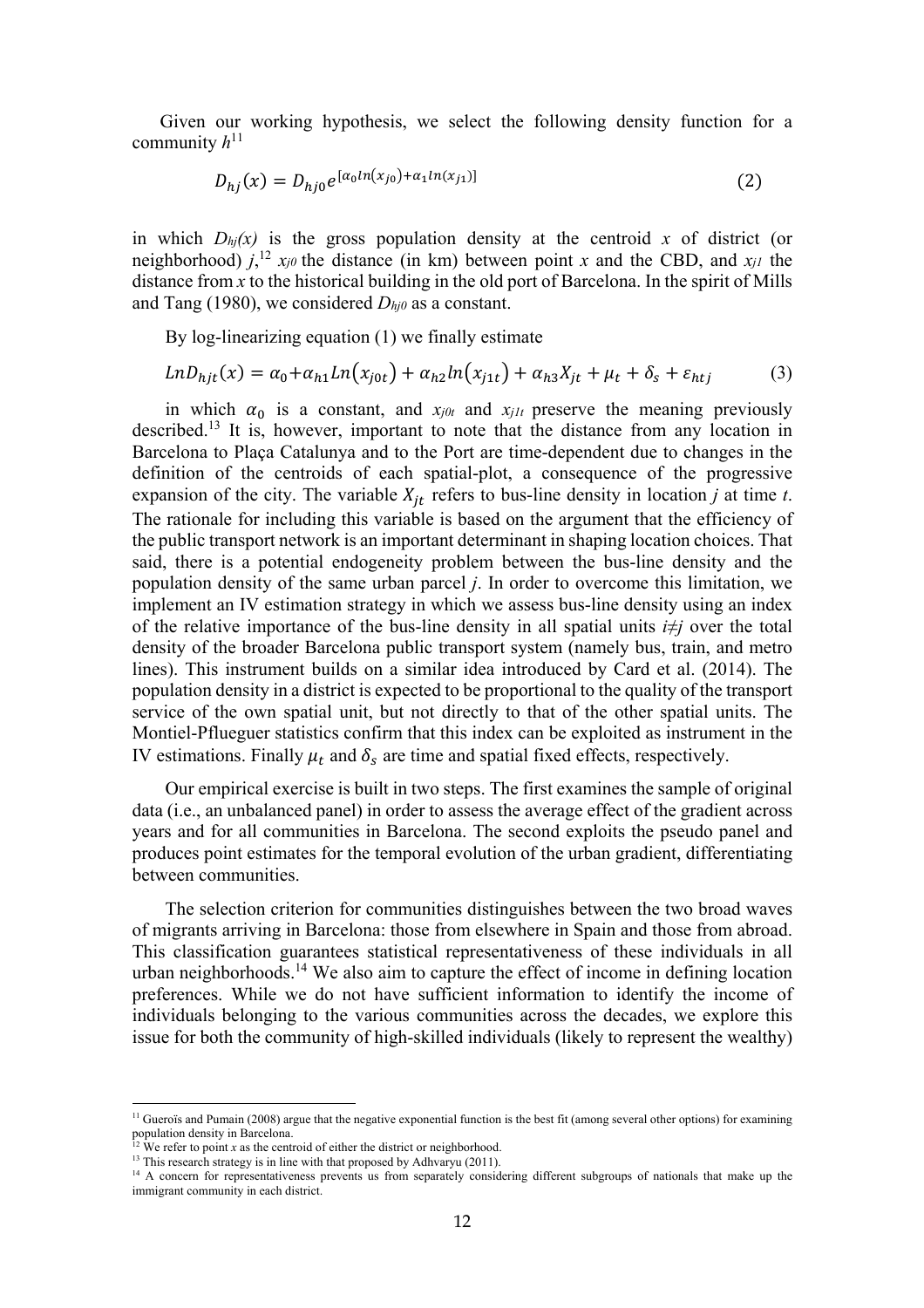Given our working hypothesis, we select the following density function for a community  $h^{11}$ 

$$
D_{hj}(x) = D_{hj0}e^{[\alpha_0 \ln(x_{j0}) + \alpha_1 \ln(x_{j1})]}
$$
\n(2)

in which  $D_{h_i}(x)$  is the gross population density at the centroid x of district (or neighborhood)  $j$ ,<sup>12</sup>,  $x_{j0}$  the distance (in km) between point x and the CBD, and  $x_{j1}$  the distance from *x* to the historical building in the old port of Barcelona. In the spirit of Mills and Tang (1980), we considered *Dhj0* as a constant.

By log-linearizing equation (1) we finally estimate

$$
LnD_{hjt}(x) = \alpha_0 + \alpha_{h1}Ln(x_{j0t}) + \alpha_{h2}ln(x_{j1t}) + \alpha_{h3}x_{jt} + \mu_t + \delta_s + \varepsilon_{hti}
$$
 (3)

in which  $\alpha_0$  is a constant, and  $x_{j0t}$  and  $x_{j1t}$  preserve the meaning previously described.13 It is, however, important to note that the distance from any location in Barcelona to Plaça Catalunya and to the Port are time-dependent due to changes in the definition of the centroids of each spatial-plot, a consequence of the progressive expansion of the city. The variable  $X_{it}$  refers to bus-line density in location *j* at time *t*. The rationale for including this variable is based on the argument that the efficiency of the public transport network is an important determinant in shaping location choices. That said, there is a potential endogeneity problem between the bus-line density and the population density of the same urban parcel *j*. In order to overcome this limitation, we implement an IV estimation strategy in which we assess bus-line density using an index of the relative importance of the bus-line density in all spatial units *i≠j* over the total density of the broader Barcelona public transport system (namely bus, train, and metro lines). This instrument builds on a similar idea introduced by Card et al. (2014). The population density in a district is expected to be proportional to the quality of the transport service of the own spatial unit, but not directly to that of the other spatial units. The Montiel-Pflueguer statistics confirm that this index can be exploited as instrument in the IV estimations. Finally  $\mu_t$  and  $\delta_s$  are time and spatial fixed effects, respectively.

Our empirical exercise is built in two steps. The first examines the sample of original data (i.e., an unbalanced panel) in order to assess the average effect of the gradient across years and for all communities in Barcelona. The second exploits the pseudo panel and produces point estimates for the temporal evolution of the urban gradient, differentiating between communities.

The selection criterion for communities distinguishes between the two broad waves of migrants arriving in Barcelona: those from elsewhere in Spain and those from abroad. This classification guarantees statistical representativeness of these individuals in all urban neighborhoods.<sup>14</sup> We also aim to capture the effect of income in defining location preferences. While we do not have sufficient information to identify the income of individuals belonging to the various communities across the decades, we explore this issue for both the community of high-skilled individuals (likely to represent the wealthy)

 $<sup>11</sup>$  Gueroïs and Pumain (2008) argue that the negative exponential function is the best fit (among several other options) for examining</sup> population density in Barcelona.<br><sup>12</sup> We refer to point x as the centroid of either the district or neighborhood.

<sup>&</sup>lt;sup>13</sup> This research strategy is in line with that proposed by Adhvaryu (2011).<br><sup>14</sup> A concern for representativeness prevents us from separately considering different subgroups of nationals that make up the immigrant community in each district.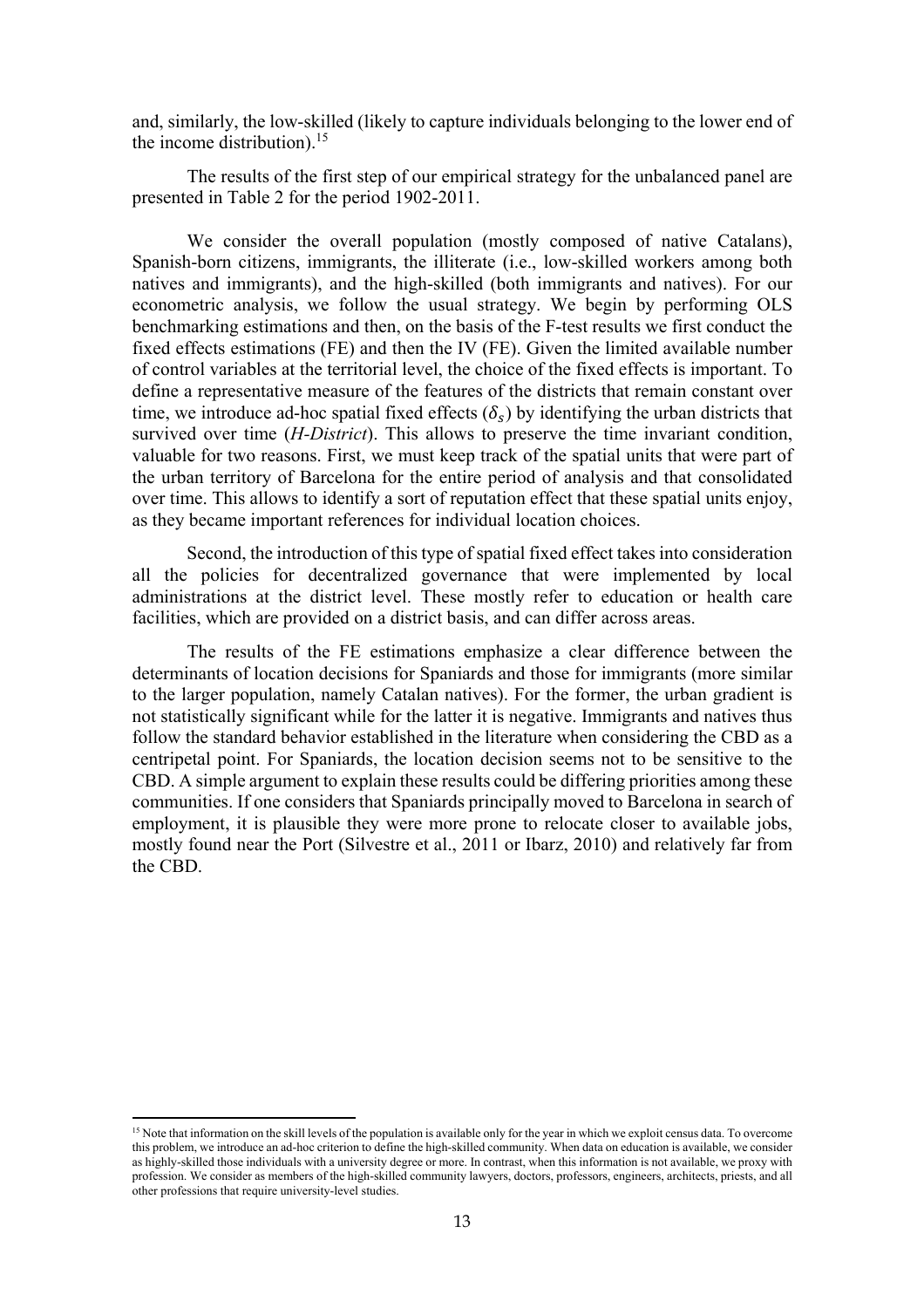and, similarly, the low-skilled (likely to capture individuals belonging to the lower end of the income distribution).<sup>15</sup>

The results of the first step of our empirical strategy for the unbalanced panel are presented in Table 2 for the period 1902-2011.

We consider the overall population (mostly composed of native Catalans), Spanish-born citizens, immigrants, the illiterate (i.e., low-skilled workers among both natives and immigrants), and the high-skilled (both immigrants and natives). For our econometric analysis, we follow the usual strategy. We begin by performing OLS benchmarking estimations and then, on the basis of the F-test results we first conduct the fixed effects estimations (FE) and then the IV (FE). Given the limited available number of control variables at the territorial level, the choice of the fixed effects is important. To define a representative measure of the features of the districts that remain constant over time, we introduce ad-hoc spatial fixed effects  $(\delta_s)$  by identifying the urban districts that survived over time (*H-District*). This allows to preserve the time invariant condition, valuable for two reasons. First, we must keep track of the spatial units that were part of the urban territory of Barcelona for the entire period of analysis and that consolidated over time. This allows to identify a sort of reputation effect that these spatial units enjoy, as they became important references for individual location choices.

Second, the introduction of this type of spatial fixed effect takes into consideration all the policies for decentralized governance that were implemented by local administrations at the district level. These mostly refer to education or health care facilities, which are provided on a district basis, and can differ across areas.

The results of the FE estimations emphasize a clear difference between the determinants of location decisions for Spaniards and those for immigrants (more similar to the larger population, namely Catalan natives). For the former, the urban gradient is not statistically significant while for the latter it is negative. Immigrants and natives thus follow the standard behavior established in the literature when considering the CBD as a centripetal point. For Spaniards, the location decision seems not to be sensitive to the CBD. A simple argument to explain these results could be differing priorities among these communities. If one considers that Spaniards principally moved to Barcelona in search of employment, it is plausible they were more prone to relocate closer to available jobs, mostly found near the Port (Silvestre et al., 2011 or Ibarz, 2010) and relatively far from the CBD.

<sup>&</sup>lt;sup>15</sup> Note that information on the skill levels of the population is available only for the year in which we exploit census data. To overcome this problem, we introduce an ad-hoc criterion to define the high-skilled community. When data on education is available, we consider as highly-skilled those individuals with a university degree or more. In contrast, when this information is not available, we proxy with profession. We consider as members of the high-skilled community lawyers, doctors, professors, engineers, architects, priests, and all other professions that require university-level studies.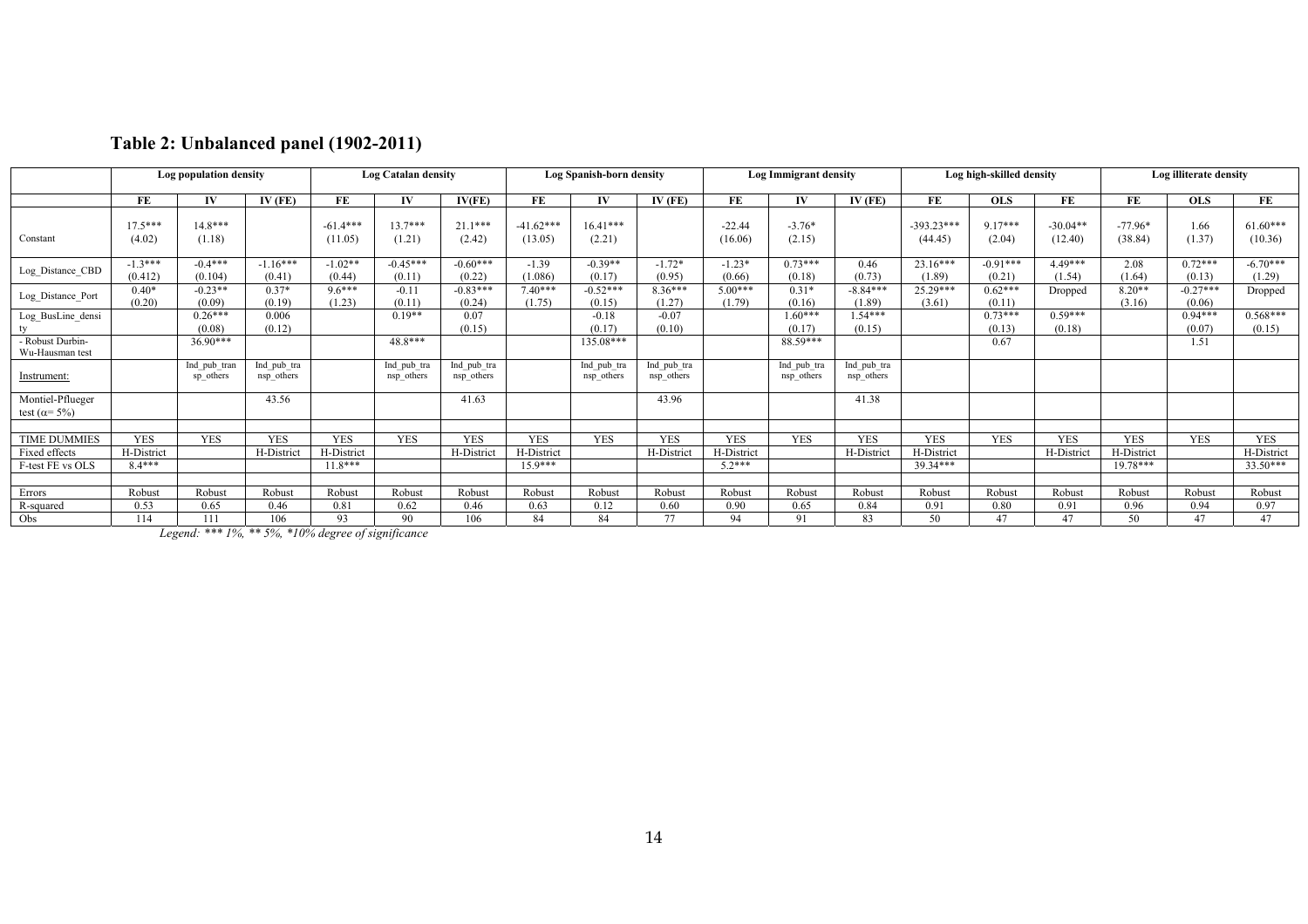|                                           |                        | Log population density    |                           |                         | Log Catalan density       |                           |                         | <b>Log Spanish-born density</b> |                           |                        | <b>Log Immigrant density</b> |                           | Log high-skilled density |                      | Log illiterate density |                          |                      |                          |
|-------------------------------------------|------------------------|---------------------------|---------------------------|-------------------------|---------------------------|---------------------------|-------------------------|---------------------------------|---------------------------|------------------------|------------------------------|---------------------------|--------------------------|----------------------|------------------------|--------------------------|----------------------|--------------------------|
|                                           | FE                     | IV                        | $IV$ (FE)                 | FE                      | IV                        | IV(FE)                    | FE                      | $I\mathbf{V}$                   | $IV$ (FE)                 | FE                     | IV                           | $IV$ (FE)                 | FE                       | <b>OLS</b>           | FE                     | FE                       | <b>OLS</b>           | FE                       |
| Constant                                  | $17.5***$<br>(4.02)    | $14.8***$<br>(1.18)       |                           | $-61.4***$<br>(11.05)   | $13.7***$<br>(1.21)       | $21.1***$<br>(2.42)       | $-41.62***$<br>(13.05)  | 16.41***<br>(2.21)              |                           | $-22.44$<br>(16.06)    | $-3.76*$<br>(2.15)           |                           | $-393.23***$<br>(44.45)  | $9.17***$<br>(2.04)  | $-30.04**$<br>(12.40)  | $-77.96*$<br>(38.84)     | 1.66<br>(1.37)       | $61.60***$<br>(10.36)    |
| Log Distance CBD                          | $-1.3***$<br>(0.412)   | $-0.4***$<br>(0.104)      | $-1.16***$<br>(0.41)      | $-1.02**$<br>(0.44)     | $-0.45***$<br>(0.11)      | $-0.60***$<br>(0.22)      | $-1.39$<br>(1.086)      | $-0.39**$<br>(0.17)             | $-1.72*$<br>(0.95)        | $-1.23*$<br>(0.66)     | $0.73***$<br>(0.18)          | 0.46<br>(0.73)            | $23.16***$<br>(1.89)     | $-0.91***$<br>(0.21) | 4.49***<br>(1.54)      | 2.08<br>(1.64)           | $0.72***$<br>(0.13)  | $-6.70***$<br>(1.29)     |
| Log Distance Port                         | $0.40*$<br>(0.20)      | $-0.23**$<br>(0.09)       | $0.37*$<br>(0.19)         | $96***$<br>(1.23)       | $-0.11$<br>(0.11)         | $-0.83***$<br>(0.24)      | $7.40***$<br>(1.75)     | $-0.52***$<br>(0.15)            | $8.36***$<br>(1.27)       | $5.00***$<br>(1.79)    | $0.31*$<br>(0.16)            | $-8.84***$<br>(1.89)      | 25.29***<br>(3.61)       | $0.62***$<br>(0.11)  | Dropped                | $8.20**$<br>(3.16)       | $-0.27***$<br>(0.06) | Dropped                  |
| Log BusLine densi                         |                        | $0.26***$<br>(0.08)       | 0.006<br>(0.12)           |                         | $0.19**$                  | 0.07<br>(0.15)            |                         | $-0.18$<br>(0.17)               | $-0.07$<br>(0.10)         |                        | $.60***$<br>(0.17)           | $1.54***$<br>(0.15)       |                          | $0.73***$<br>(0.13)  | $0.59***$<br>(0.18)    |                          | $0.94***$<br>(0.07)  | $0.568***$<br>(0.15)     |
| - Robust Durbin-<br>Wu-Hausman test       |                        | $36.90***$                |                           |                         | 48.8***                   |                           |                         | 135.08***                       |                           |                        | 88.59***                     |                           |                          | 0.67                 |                        |                          | 1.51                 |                          |
| Instrument:                               |                        | Ind pub tran<br>sp_others | Ind pub tra<br>nsp others |                         | Ind_pub_tra<br>nsp_others | Ind_pub_tra<br>nsp_others |                         | Ind pub tra<br>nsp_others       | Ind_pub_tra<br>nsp_others |                        | Ind_pub_tra<br>nsp_others    | Ind_pub_tra<br>nsp_others |                          |                      |                        |                          |                      |                          |
| Montiel-Pflueger<br>test ( $\alpha$ = 5%) |                        |                           | 43.56                     |                         |                           | 41.63                     |                         |                                 | 43.96                     |                        |                              | 41.38                     |                          |                      |                        |                          |                      |                          |
| <b>TIME DUMMIES</b>                       | <b>YES</b>             | <b>YES</b>                | <b>YES</b>                | <b>YES</b>              | <b>YES</b>                | <b>YES</b>                | <b>YES</b>              | <b>YES</b>                      | <b>YES</b>                | <b>YES</b>             | <b>YES</b>                   | <b>YES</b>                | <b>YES</b>               | <b>YES</b>           | <b>YES</b>             | <b>YES</b>               | <b>YES</b>           | <b>YES</b>               |
| Fixed effects<br>F-test FE vs OLS         | H-District<br>$8.4***$ |                           | H-District                | H-District<br>$11.8***$ |                           | H-District                | H-District<br>$15.9***$ |                                 | H-District                | H-District<br>$5.2***$ |                              | H-District                | H-District<br>39.34***   |                      | H-District             | H-District<br>$19.78***$ |                      | H-District<br>$33.50***$ |
| Errors                                    | Robust                 | Robust                    | Robust                    | Robust                  | Robust                    | Robust                    | Robust                  | Robust                          | Robust                    | Robust                 | Robust                       | Robust                    | Robust                   | Robust               | Robust                 | Robust                   | Robust               | Robust                   |
| R-squared                                 | 0.53                   | 0.65                      | 0.46                      | 0.81                    | 0.62                      | 0.46                      | 0.63                    | 0.12                            | 0.60                      | 0.90                   | 0.65                         | 0.84                      | 0.91                     | 0.80                 | 0.91                   | 0.96                     | 0.94                 | 0.97                     |
| Obs                                       | 114                    | 111                       | 106                       | 93                      | 90                        | 106                       | 84                      | 84                              | 77                        | 94                     | 91                           | 83                        | 50                       | 47                   | 47                     | 50                       | 47                   | 47                       |

## **Table 2: Unbalanced panel (1902-2011)**

 *Legend: \*\*\* 1%, \*\* 5%, \*10% degree of significance*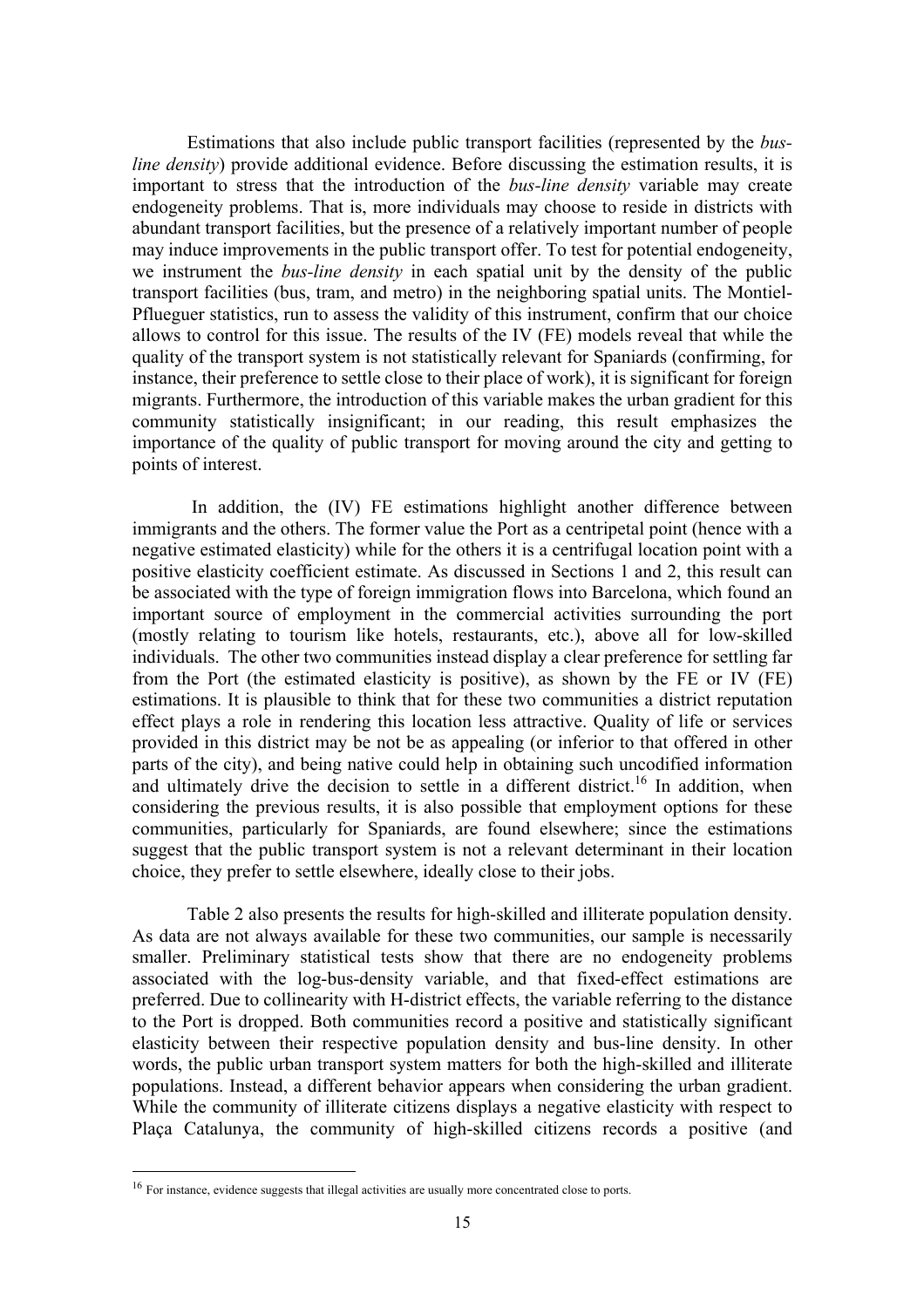Estimations that also include public transport facilities (represented by the *busline density*) provide additional evidence. Before discussing the estimation results, it is important to stress that the introduction of the *bus-line density* variable may create endogeneity problems. That is, more individuals may choose to reside in districts with abundant transport facilities, but the presence of a relatively important number of people may induce improvements in the public transport offer. To test for potential endogeneity, we instrument the *bus-line density* in each spatial unit by the density of the public transport facilities (bus, tram, and metro) in the neighboring spatial units. The Montiel-Pflueguer statistics, run to assess the validity of this instrument, confirm that our choice allows to control for this issue. The results of the IV (FE) models reveal that while the quality of the transport system is not statistically relevant for Spaniards (confirming, for instance, their preference to settle close to their place of work), it is significant for foreign migrants. Furthermore, the introduction of this variable makes the urban gradient for this community statistically insignificant; in our reading, this result emphasizes the importance of the quality of public transport for moving around the city and getting to points of interest.

 In addition, the (IV) FE estimations highlight another difference between immigrants and the others. The former value the Port as a centripetal point (hence with a negative estimated elasticity) while for the others it is a centrifugal location point with a positive elasticity coefficient estimate. As discussed in Sections 1 and 2, this result can be associated with the type of foreign immigration flows into Barcelona, which found an important source of employment in the commercial activities surrounding the port (mostly relating to tourism like hotels, restaurants, etc.), above all for low-skilled individuals. The other two communities instead display a clear preference for settling far from the Port (the estimated elasticity is positive), as shown by the FE or IV (FE) estimations. It is plausible to think that for these two communities a district reputation effect plays a role in rendering this location less attractive. Quality of life or services provided in this district may be not be as appealing (or inferior to that offered in other parts of the city), and being native could help in obtaining such uncodified information and ultimately drive the decision to settle in a different district.<sup>16</sup> In addition, when considering the previous results, it is also possible that employment options for these communities, particularly for Spaniards, are found elsewhere; since the estimations suggest that the public transport system is not a relevant determinant in their location choice, they prefer to settle elsewhere, ideally close to their jobs.

Table 2 also presents the results for high-skilled and illiterate population density. As data are not always available for these two communities, our sample is necessarily smaller. Preliminary statistical tests show that there are no endogeneity problems associated with the log-bus-density variable, and that fixed-effect estimations are preferred. Due to collinearity with H-district effects, the variable referring to the distance to the Port is dropped. Both communities record a positive and statistically significant elasticity between their respective population density and bus-line density. In other words, the public urban transport system matters for both the high-skilled and illiterate populations. Instead, a different behavior appears when considering the urban gradient. While the community of illiterate citizens displays a negative elasticity with respect to Plaça Catalunya, the community of high-skilled citizens records a positive (and

<sup>&</sup>lt;sup>16</sup> For instance, evidence suggests that illegal activities are usually more concentrated close to ports.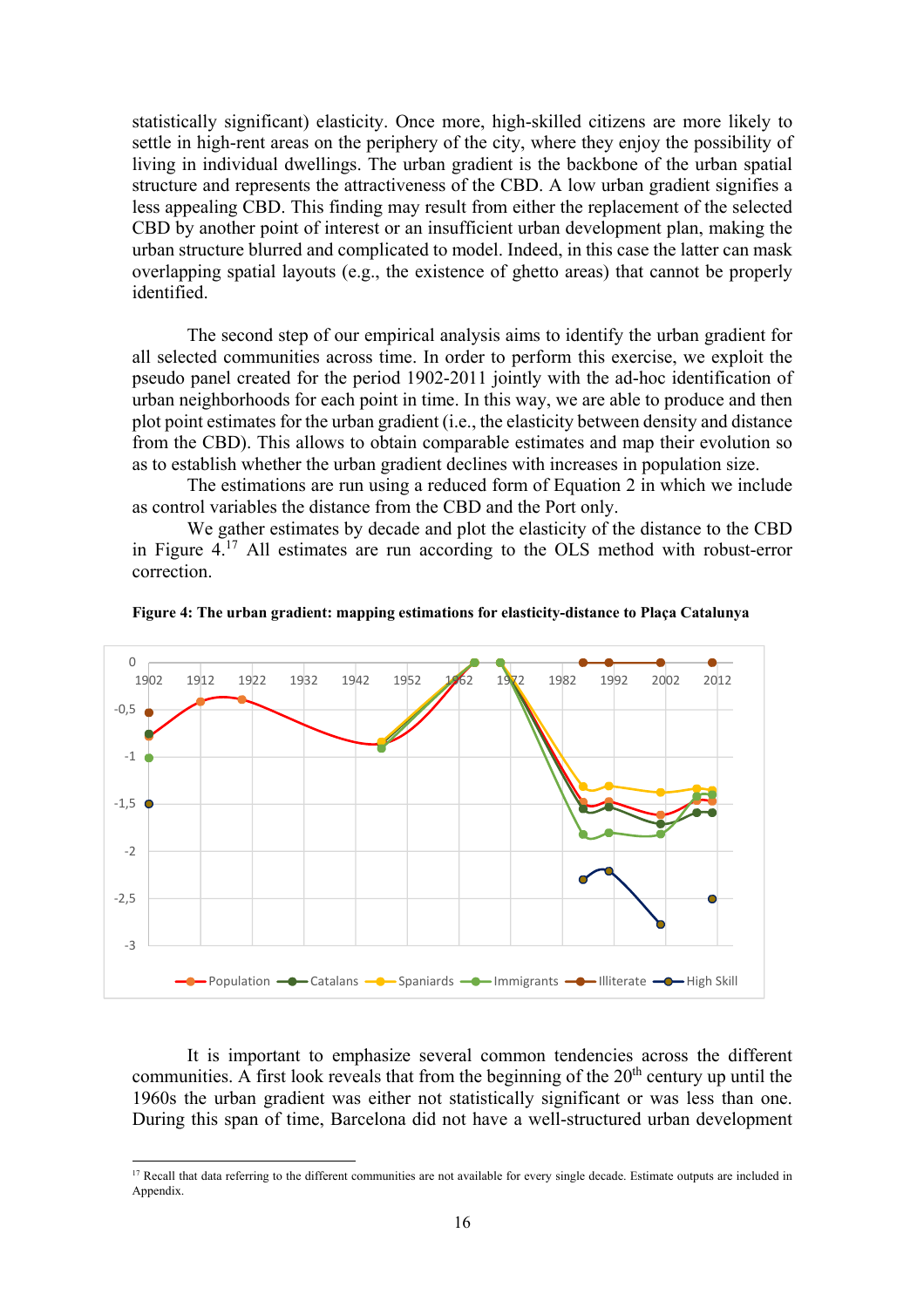statistically significant) elasticity. Once more, high-skilled citizens are more likely to settle in high-rent areas on the periphery of the city, where they enjoy the possibility of living in individual dwellings. The urban gradient is the backbone of the urban spatial structure and represents the attractiveness of the CBD. A low urban gradient signifies a less appealing CBD. This finding may result from either the replacement of the selected CBD by another point of interest or an insufficient urban development plan, making the urban structure blurred and complicated to model. Indeed, in this case the latter can mask overlapping spatial layouts (e.g., the existence of ghetto areas) that cannot be properly identified.

The second step of our empirical analysis aims to identify the urban gradient for all selected communities across time. In order to perform this exercise, we exploit the pseudo panel created for the period 1902-2011 jointly with the ad-hoc identification of urban neighborhoods for each point in time. In this way, we are able to produce and then plot point estimates for the urban gradient (i.e., the elasticity between density and distance from the CBD). This allows to obtain comparable estimates and map their evolution so as to establish whether the urban gradient declines with increases in population size.

The estimations are run using a reduced form of Equation 2 in which we include as control variables the distance from the CBD and the Port only.

We gather estimates by decade and plot the elasticity of the distance to the CBD in Figure 4.17 All estimates are run according to the OLS method with robust-error correction.





It is important to emphasize several common tendencies across the different communities. A first look reveals that from the beginning of the  $20<sup>th</sup>$  century up until the 1960s the urban gradient was either not statistically significant or was less than one. During this span of time, Barcelona did not have a well-structured urban development

 $17$  Recall that data referring to the different communities are not available for every single decade. Estimate outputs are included in Appendix.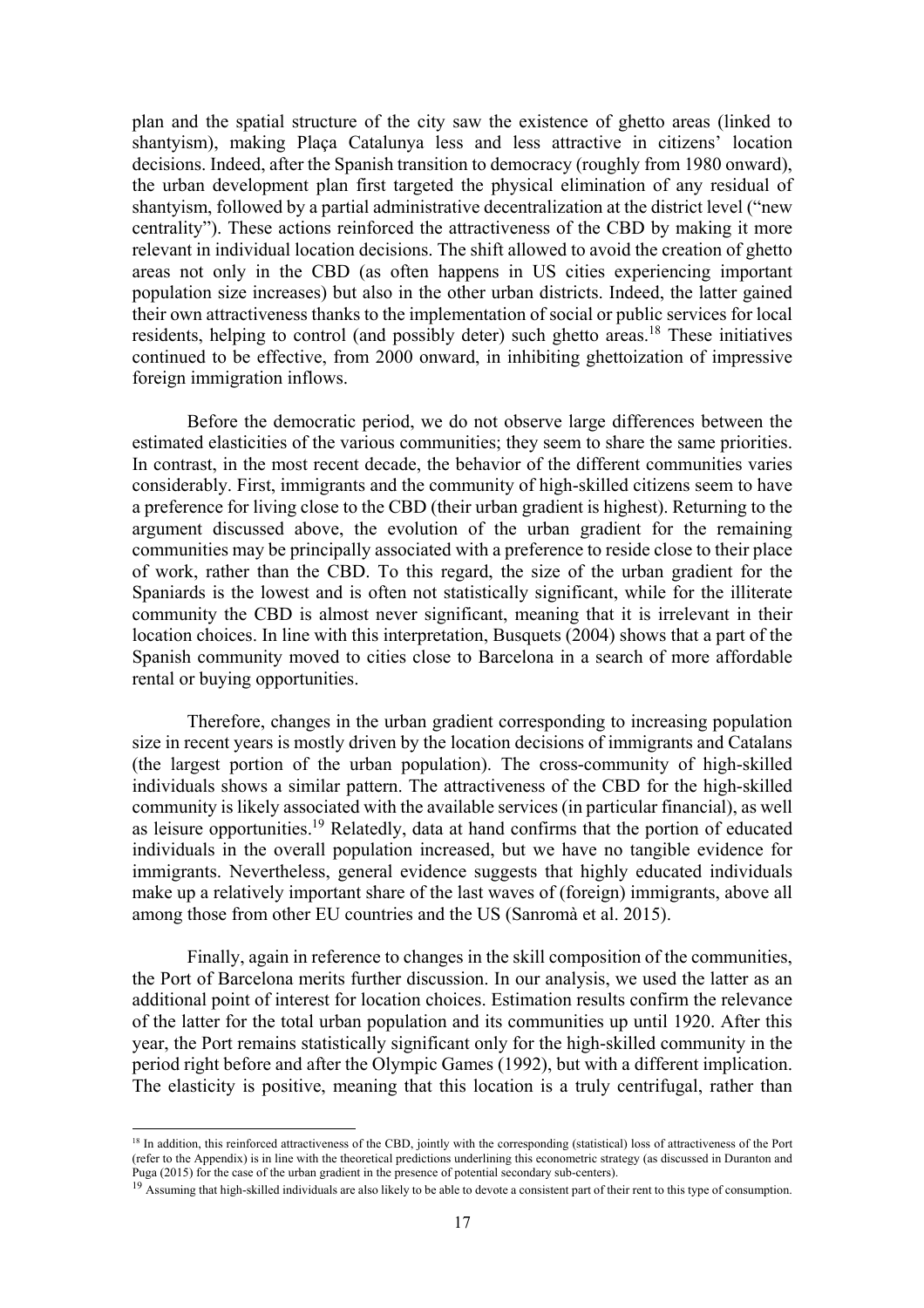plan and the spatial structure of the city saw the existence of ghetto areas (linked to shantyism), making Plaça Catalunya less and less attractive in citizens' location decisions. Indeed, after the Spanish transition to democracy (roughly from 1980 onward), the urban development plan first targeted the physical elimination of any residual of shantyism, followed by a partial administrative decentralization at the district level ("new centrality"). These actions reinforced the attractiveness of the CBD by making it more relevant in individual location decisions. The shift allowed to avoid the creation of ghetto areas not only in the CBD (as often happens in US cities experiencing important population size increases) but also in the other urban districts. Indeed, the latter gained their own attractiveness thanks to the implementation of social or public services for local residents, helping to control (and possibly deter) such ghetto areas.18 These initiatives continued to be effective, from 2000 onward, in inhibiting ghettoization of impressive foreign immigration inflows.

Before the democratic period, we do not observe large differences between the estimated elasticities of the various communities; they seem to share the same priorities. In contrast, in the most recent decade, the behavior of the different communities varies considerably. First, immigrants and the community of high-skilled citizens seem to have a preference for living close to the CBD (their urban gradient is highest). Returning to the argument discussed above, the evolution of the urban gradient for the remaining communities may be principally associated with a preference to reside close to their place of work, rather than the CBD. To this regard, the size of the urban gradient for the Spaniards is the lowest and is often not statistically significant, while for the illiterate community the CBD is almost never significant, meaning that it is irrelevant in their location choices. In line with this interpretation, Busquets (2004) shows that a part of the Spanish community moved to cities close to Barcelona in a search of more affordable rental or buying opportunities.

Therefore, changes in the urban gradient corresponding to increasing population size in recent years is mostly driven by the location decisions of immigrants and Catalans (the largest portion of the urban population). The cross-community of high-skilled individuals shows a similar pattern. The attractiveness of the CBD for the high-skilled community is likely associated with the available services (in particular financial), as well as leisure opportunities.<sup>19</sup> Relatedly, data at hand confirms that the portion of educated individuals in the overall population increased, but we have no tangible evidence for immigrants. Nevertheless, general evidence suggests that highly educated individuals make up a relatively important share of the last waves of (foreign) immigrants, above all among those from other EU countries and the US (Sanromà et al. 2015).

Finally, again in reference to changes in the skill composition of the communities, the Port of Barcelona merits further discussion. In our analysis, we used the latter as an additional point of interest for location choices. Estimation results confirm the relevance of the latter for the total urban population and its communities up until 1920. After this year, the Port remains statistically significant only for the high-skilled community in the period right before and after the Olympic Games (1992), but with a different implication. The elasticity is positive, meaning that this location is a truly centrifugal, rather than

<sup>&</sup>lt;sup>18</sup> In addition, this reinforced attractiveness of the CBD, jointly with the corresponding (statistical) loss of attractiveness of the Port (refer to the Appendix) is in line with the theoretical predictions underlining this econometric strategy (as discussed in Duranton and Puga (2015) for the case of the urban gradient in the presence of potential secondary sub-centers).

<sup>&</sup>lt;sup>19</sup> Assuming that high-skilled individuals are also likely to be able to devote a consistent part of their rent to this type of consumption.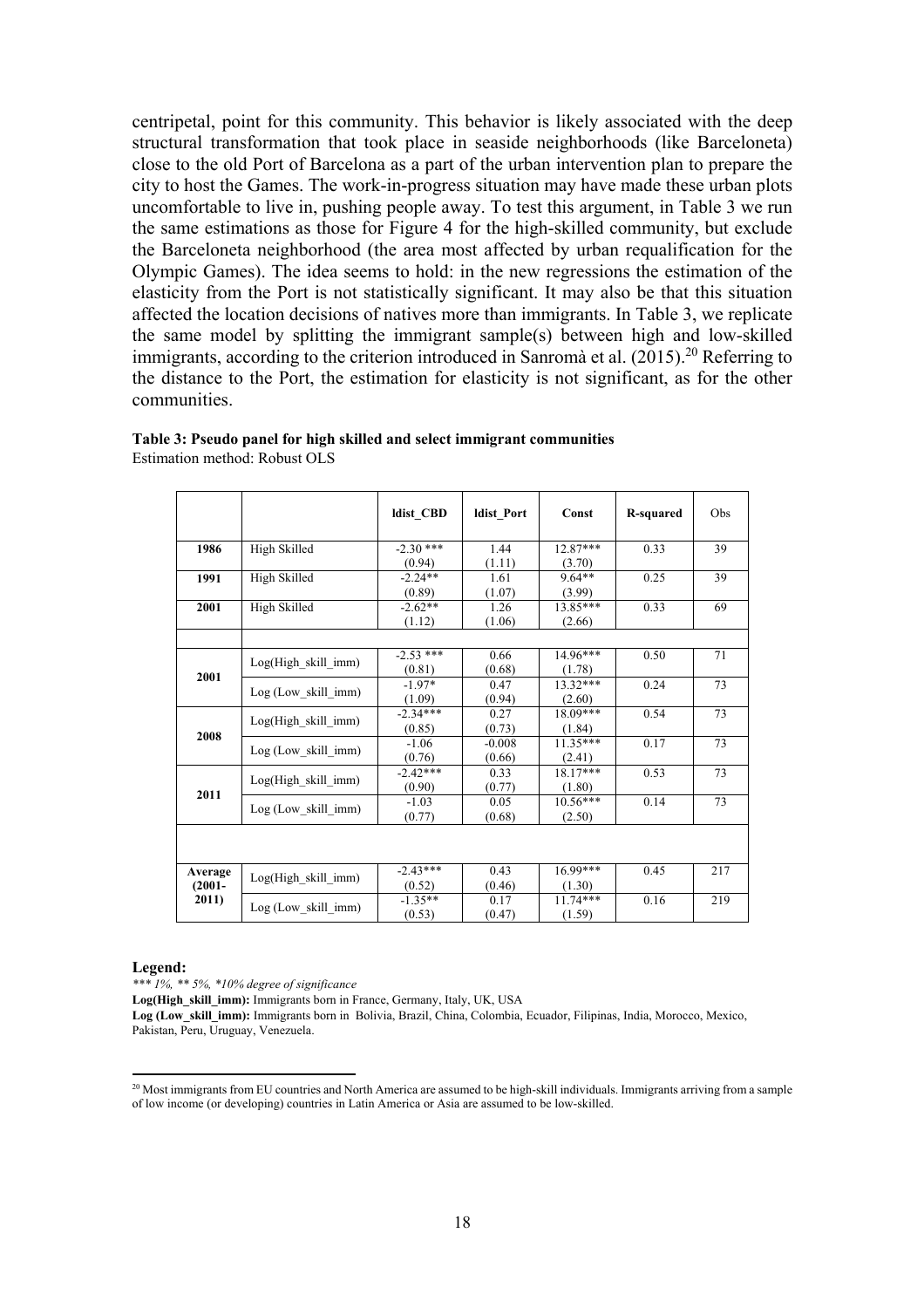centripetal, point for this community. This behavior is likely associated with the deep structural transformation that took place in seaside neighborhoods (like Barceloneta) close to the old Port of Barcelona as a part of the urban intervention plan to prepare the city to host the Games. The work-in-progress situation may have made these urban plots uncomfortable to live in, pushing people away. To test this argument, in Table 3 we run the same estimations as those for Figure 4 for the high-skilled community, but exclude the Barceloneta neighborhood (the area most affected by urban requalification for the Olympic Games). The idea seems to hold: in the new regressions the estimation of the elasticity from the Port is not statistically significant. It may also be that this situation affected the location decisions of natives more than immigrants. In Table 3, we replicate the same model by splitting the immigrant sample(s) between high and low-skilled immigrants, according to the criterion introduced in Sanromà et al.  $(2015)$ <sup>20</sup> Referring to the distance to the Port, the estimation for elasticity is not significant, as for the other communities.

|                      |                     | ldist CBD             | <b>Idist Port</b>  | Const                | R-squared | Obs |
|----------------------|---------------------|-----------------------|--------------------|----------------------|-----------|-----|
| 1986                 | High Skilled        | $-2.30$ ***<br>(0.94) | 1.44<br>(1.11)     | $12.87***$<br>(3.70) | 0.33      | 39  |
| 1991                 | High Skilled        | $-2.24**$<br>(0.89)   | 1.61<br>(1.07)     | $964**$<br>(3.99)    | 0.25      | 39  |
| 2001                 | High Skilled        | $-2.62**$<br>(1.12)   | 1.26<br>(1.06)     | 13.85***<br>(2.66)   | 0.33      | 69  |
|                      |                     |                       |                    |                      |           |     |
|                      | Log(High skill imm) | $-2.53$ ***<br>(0.81) | 0.66<br>(0.68)     | 14.96***<br>(1.78)   | 0.50      | 71  |
| 2001                 | Log (Low skill imm) | $-1.97*$<br>(1.09)    | 0.47<br>(0.94)     | $13.32***$<br>(2.60) | 0.24      | 73  |
|                      | Log(High skill imm) | $-2.34***$<br>(0.85)  | 0.27<br>(0.73)     | 18.09***<br>(1.84)   | 0.54      | 73  |
| 2008                 | Log (Low skill imm) | $-1.06$<br>(0.76)     | $-0.008$<br>(0.66) | $11.35***$<br>(2.41) | 0.17      | 73  |
|                      | Log(High skill imm) | $-2.42***$<br>(0.90)  | 0.33<br>(0.77)     | 18.17***<br>(1.80)   | 0.53      | 73  |
| 2011                 | Log (Low_skill_imm) | $-1.03$<br>(0.77)     | 0.05<br>(0.68)     | $10.56***$<br>(2.50) | 0.14      | 73  |
|                      |                     |                       |                    |                      |           |     |
| Average<br>$(2001 -$ | Log(High skill imm) | $-2.43***$<br>(0.52)  | 0.43<br>(0.46)     | 16.99***<br>(1.30)   | 0.45      | 217 |
| 2011)                | Log (Low skill imm) | $-1.35**$<br>(0.53)   | 0.17<br>(0.47)     | $11.74***$<br>(1.59) | 0.16      | 219 |

### **Table 3: Pseudo panel for high skilled and select immigrant communities**  Estimation method: Robust OLS

#### **Legend:**

*\*\*\* 1%, \*\* 5%, \*10% degree of significance*

Log(High skill imm): Immigrants born in France, Germany, Italy, UK, USA

**Log (Low\_skill\_imm):** Immigrants born in Bolivia, Brazil, China, Colombia, Ecuador, Filipinas, India, Morocco, Mexico, Pakistan, Peru, Uruguay, Venezuela.

 $^{20}$  Most immigrants from EU countries and North America are assumed to be high-skill individuals. Immigrants arriving from a sample of low income (or developing) countries in Latin America or Asia are assumed to be low-skilled.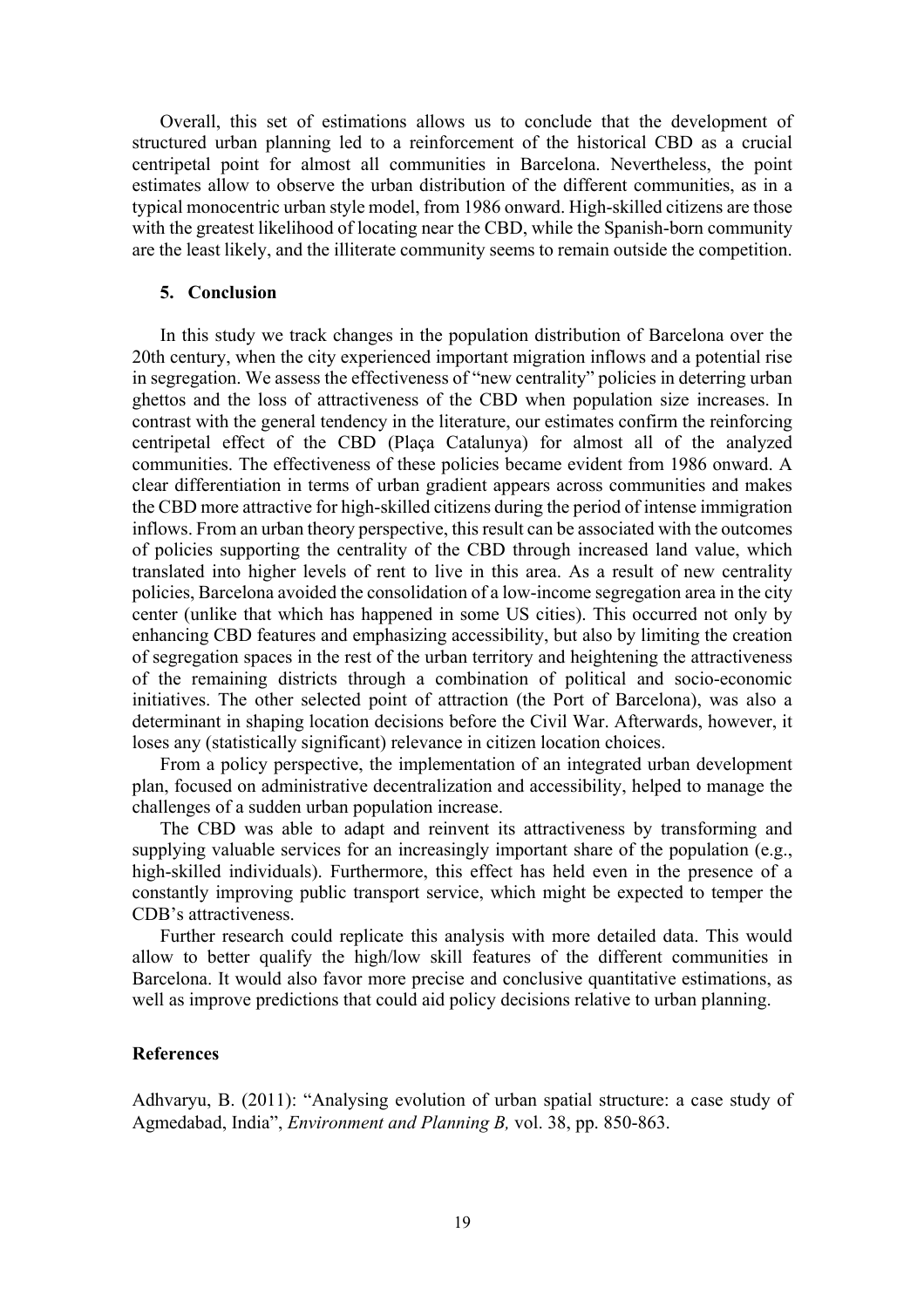Overall, this set of estimations allows us to conclude that the development of structured urban planning led to a reinforcement of the historical CBD as a crucial centripetal point for almost all communities in Barcelona. Nevertheless, the point estimates allow to observe the urban distribution of the different communities, as in a typical monocentric urban style model, from 1986 onward. High-skilled citizens are those with the greatest likelihood of locating near the CBD, while the Spanish-born community are the least likely, and the illiterate community seems to remain outside the competition.

## **5. Conclusion**

In this study we track changes in the population distribution of Barcelona over the 20th century, when the city experienced important migration inflows and a potential rise in segregation. We assess the effectiveness of "new centrality" policies in deterring urban ghettos and the loss of attractiveness of the CBD when population size increases. In contrast with the general tendency in the literature, our estimates confirm the reinforcing centripetal effect of the CBD (Plaça Catalunya) for almost all of the analyzed communities. The effectiveness of these policies became evident from 1986 onward. A clear differentiation in terms of urban gradient appears across communities and makes the CBD more attractive for high-skilled citizens during the period of intense immigration inflows. From an urban theory perspective, this result can be associated with the outcomes of policies supporting the centrality of the CBD through increased land value, which translated into higher levels of rent to live in this area. As a result of new centrality policies, Barcelona avoided the consolidation of a low-income segregation area in the city center (unlike that which has happened in some US cities). This occurred not only by enhancing CBD features and emphasizing accessibility, but also by limiting the creation of segregation spaces in the rest of the urban territory and heightening the attractiveness of the remaining districts through a combination of political and socio-economic initiatives. The other selected point of attraction (the Port of Barcelona), was also a determinant in shaping location decisions before the Civil War. Afterwards, however, it loses any (statistically significant) relevance in citizen location choices.

From a policy perspective, the implementation of an integrated urban development plan, focused on administrative decentralization and accessibility, helped to manage the challenges of a sudden urban population increase.

The CBD was able to adapt and reinvent its attractiveness by transforming and supplying valuable services for an increasingly important share of the population (e.g., high-skilled individuals). Furthermore, this effect has held even in the presence of a constantly improving public transport service, which might be expected to temper the CDB's attractiveness.

Further research could replicate this analysis with more detailed data. This would allow to better qualify the high/low skill features of the different communities in Barcelona. It would also favor more precise and conclusive quantitative estimations, as well as improve predictions that could aid policy decisions relative to urban planning.

### **References**

Adhvaryu, B. (2011): "Analysing evolution of urban spatial structure: a case study of Agmedabad, India", *Environment and Planning B,* vol. 38, pp. 850-863.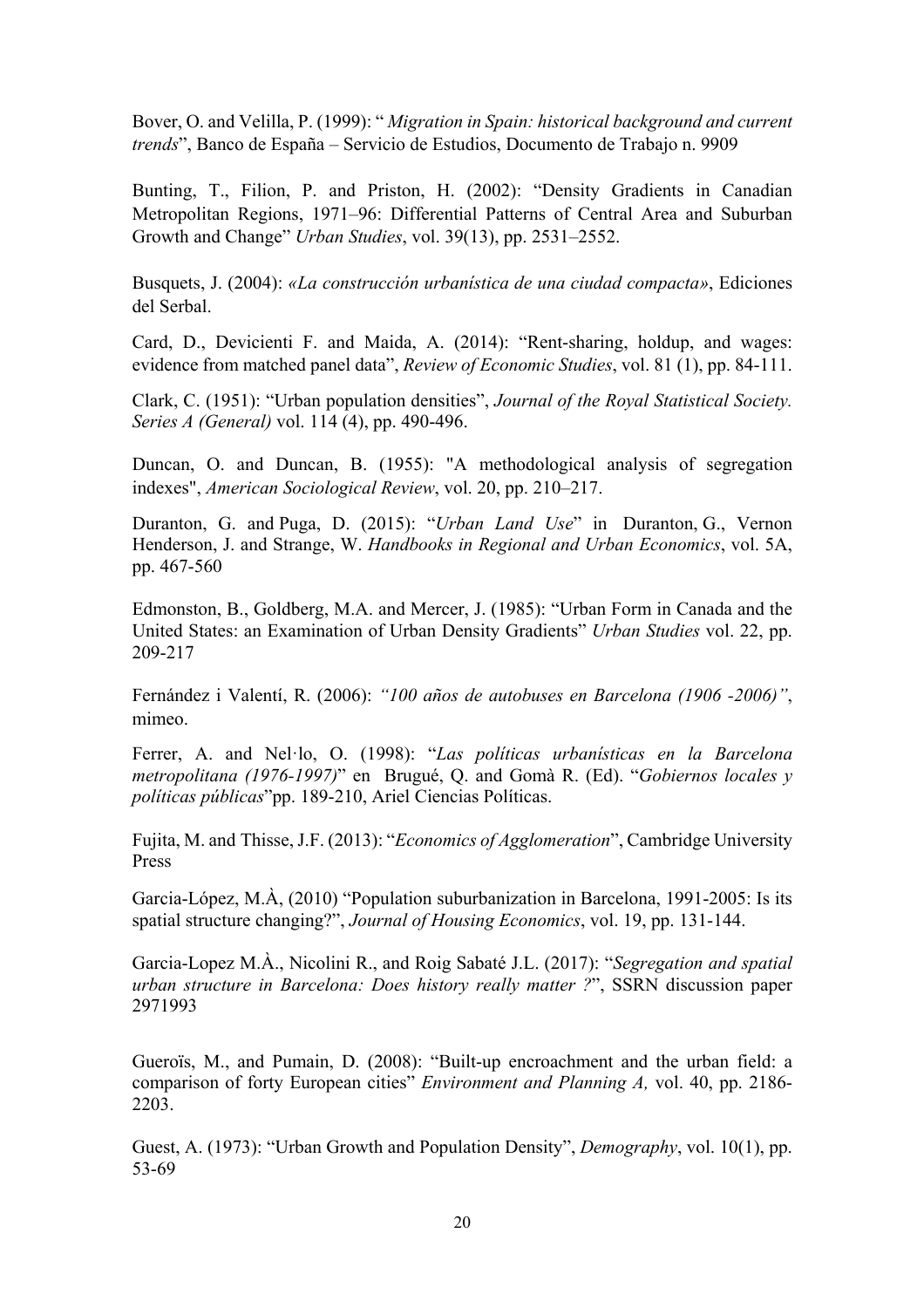Bover, O. and Velilla, P. (1999): " *Migration in Spain: historical background and current trends*", Banco de España – Servicio de Estudios, Documento de Trabajo n. 9909

Bunting, T., Filion, P. and Priston, H. (2002): "Density Gradients in Canadian Metropolitan Regions, 1971–96: Differential Patterns of Central Area and Suburban Growth and Change" *Urban Studies*, vol. 39(13), pp. 2531–2552.

Busquets, J. (2004): *«La construcción urbanística de una ciudad compacta»*, Ediciones del Serbal.

Card, D., Devicienti F. and Maida, A. (2014): "Rent-sharing, holdup, and wages: evidence from matched panel data", *Review of Economic Studies*, vol. 81 (1), pp. 84-111.

Clark, C. (1951): "Urban population densities", *Journal of the Royal Statistical Society. Series A (General)* vol. 114 (4), pp. 490-496.

Duncan, O. and Duncan, B. (1955): "A methodological analysis of segregation indexes", *American Sociological Review*, vol. 20, pp. 210–217.

Duranton, G. and Puga, D. (2015): "*Urban Land Use*" in Duranton, G., Vernon Henderson, J. and Strange, W. *Handbooks in Regional and Urban Economics*, vol. 5A, pp. 467-560

Edmonston, B., Goldberg, M.A. and Mercer, J. (1985): "Urban Form in Canada and the United States: an Examination of Urban Density Gradients" *Urban Studies* vol. 22, pp. 209-217

Fernández i Valentí, R. (2006): *"100 años de autobuses en Barcelona (1906 -2006)"*, mimeo.

Ferrer, A. and Nel·lo, O. (1998): "*Las políticas urbanísticas en la Barcelona metropolitana (1976-1997)*" en Brugué, Q. and Gomà R. (Ed). "*Gobiernos locales y políticas públicas*"pp. 189-210, Ariel Ciencias Políticas.

Fujita, M. and Thisse, J.F. (2013): "*Economics of Agglomeration*", Cambridge University Press

Garcia-López, M.À, (2010) "Population suburbanization in Barcelona, 1991-2005: Is its spatial structure changing?", *Journal of Housing Economics*, vol. 19, pp. 131-144.

Garcia-Lopez M.À., Nicolini R., and Roig Sabaté J.L. (2017): "*Segregation and spatial urban structure in Barcelona: Does history really matter ?*", SSRN discussion paper 2971993

Gueroïs, M., and Pumain, D. (2008): "Built-up encroachment and the urban field: a comparison of forty European cities" *Environment and Planning A,* vol. 40, pp. 2186- 2203.

Guest, A. (1973): "Urban Growth and Population Density", *Demography*, vol. 10(1), pp. 53-69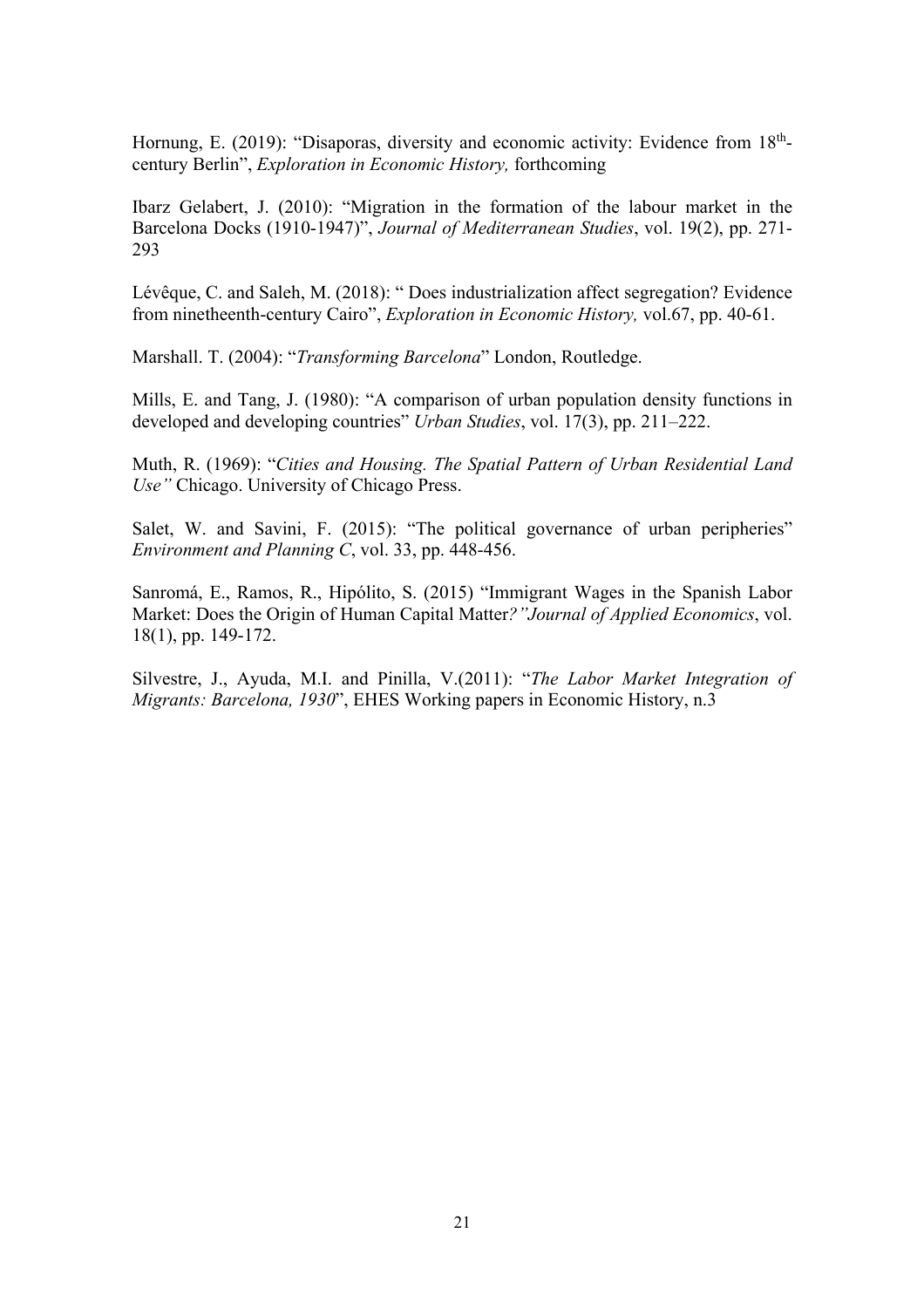Hornung, E. (2019): "Disaporas, diversity and economic activity: Evidence from 18<sup>th</sup>century Berlin", *Exploration in Economic History,* forthcoming

Ibarz Gelabert, J. (2010): "Migration in the formation of the labour market in the Barcelona Docks (1910-1947)", *Journal of Mediterranean Studies*, vol. 19(2), pp. 271- 293

Lévêque, C. and Saleh, M. (2018): " Does industrialization affect segregation? Evidence from ninetheenth-century Cairo", *Exploration in Economic History,* vol.67, pp. 40-61.

Marshall. T. (2004): "*Transforming Barcelona*" London, Routledge.

Mills, E. and Tang, J. (1980): "A comparison of urban population density functions in developed and developing countries" *Urban Studies*, vol. 17(3), pp. 211–222.

Muth, R. (1969): "*Cities and Housing. The Spatial Pattern of Urban Residential Land Use"* Chicago. University of Chicago Press.

Salet, W. and Savini, F. (2015): "The political governance of urban peripheries" *Environment and Planning C*, vol. 33, pp. 448-456.

Sanromá, E., Ramos, R., Hipólito, S. (2015) "Immigrant Wages in the Spanish Labor Market: Does the Origin of Human Capital Matter*?"Journal of Applied Economics*, vol. 18(1), pp. 149-172.

Silvestre, J., Ayuda, M.I. and Pinilla, V.(2011): "*The Labor Market Integration of Migrants: Barcelona, 1930*", EHES Working papers in Economic History, n.3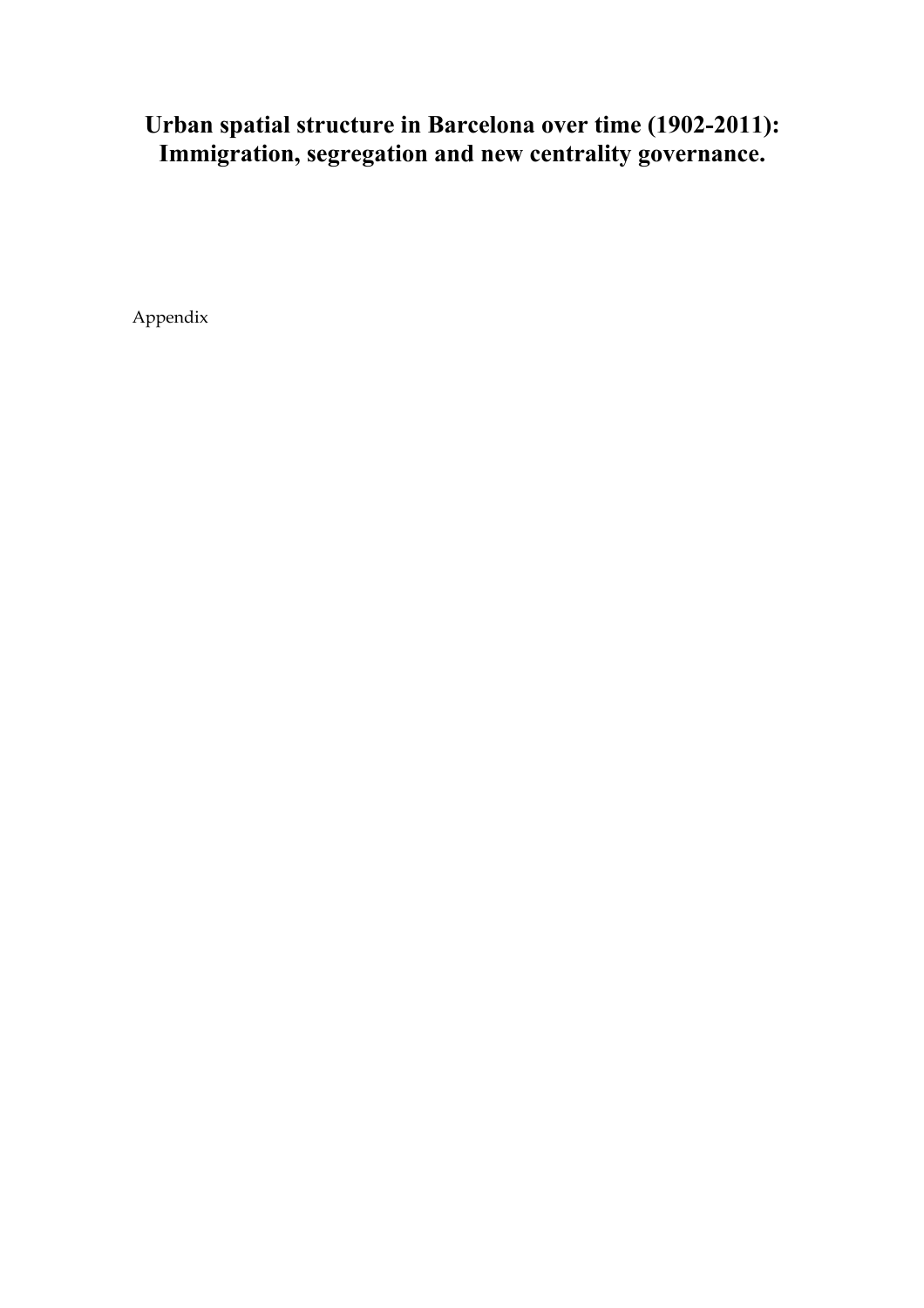# **Urban spatial structure in Barcelona over time (1902-2011): Immigration, segregation and new centrality governance.**

Appendix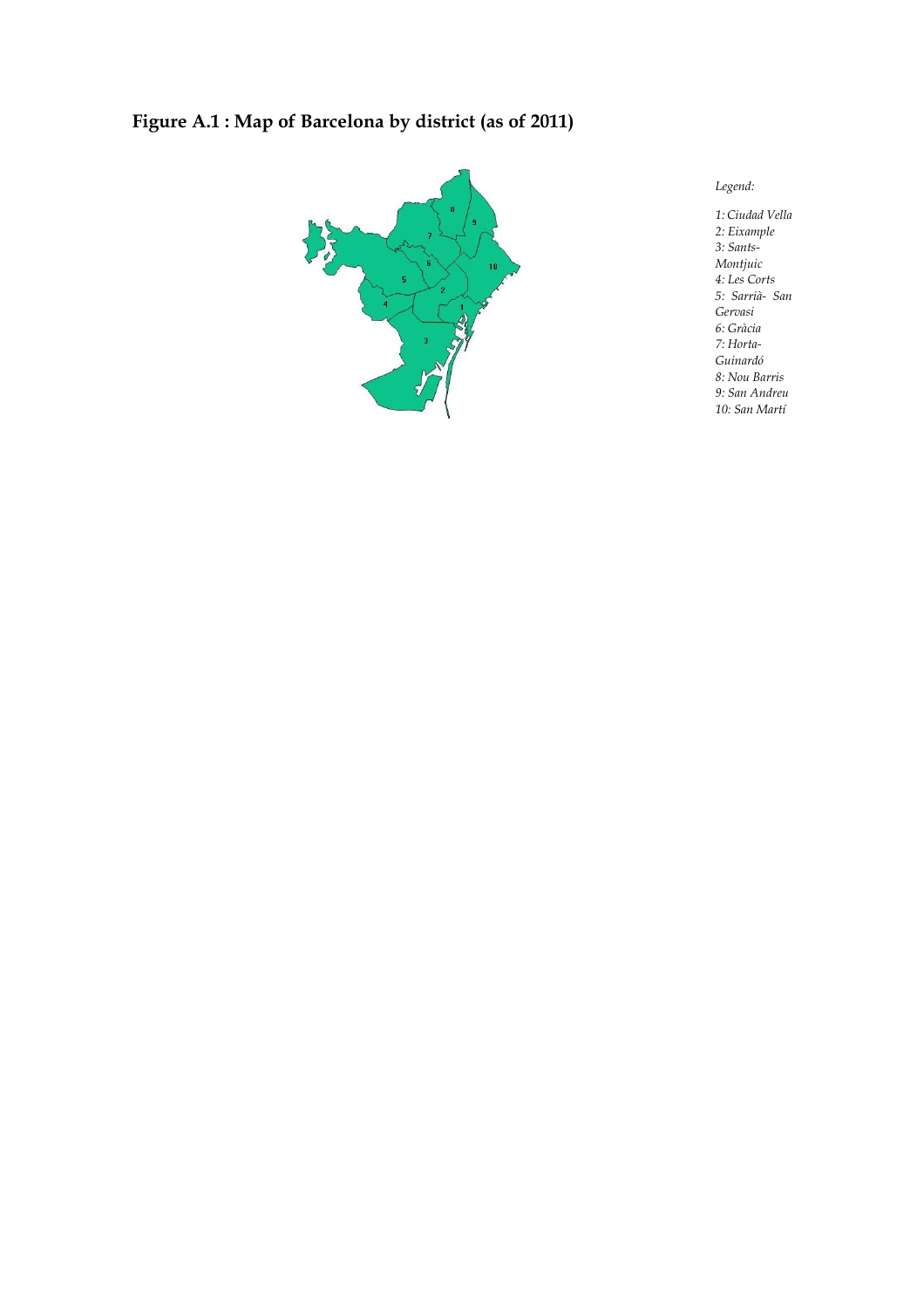## **Figure A.1 : Map of Barcelona by district (as of 2011)**



*1: Ciudad Vella 2: Eixample 3: Sants-Montjuic 4: Les Corts 5: Sarrià- San Gervasi 6: Gràcia 7: Horta-Guinardó 8: Nou Barris 9: San Andreu 10: San Martí* 

*Legend:*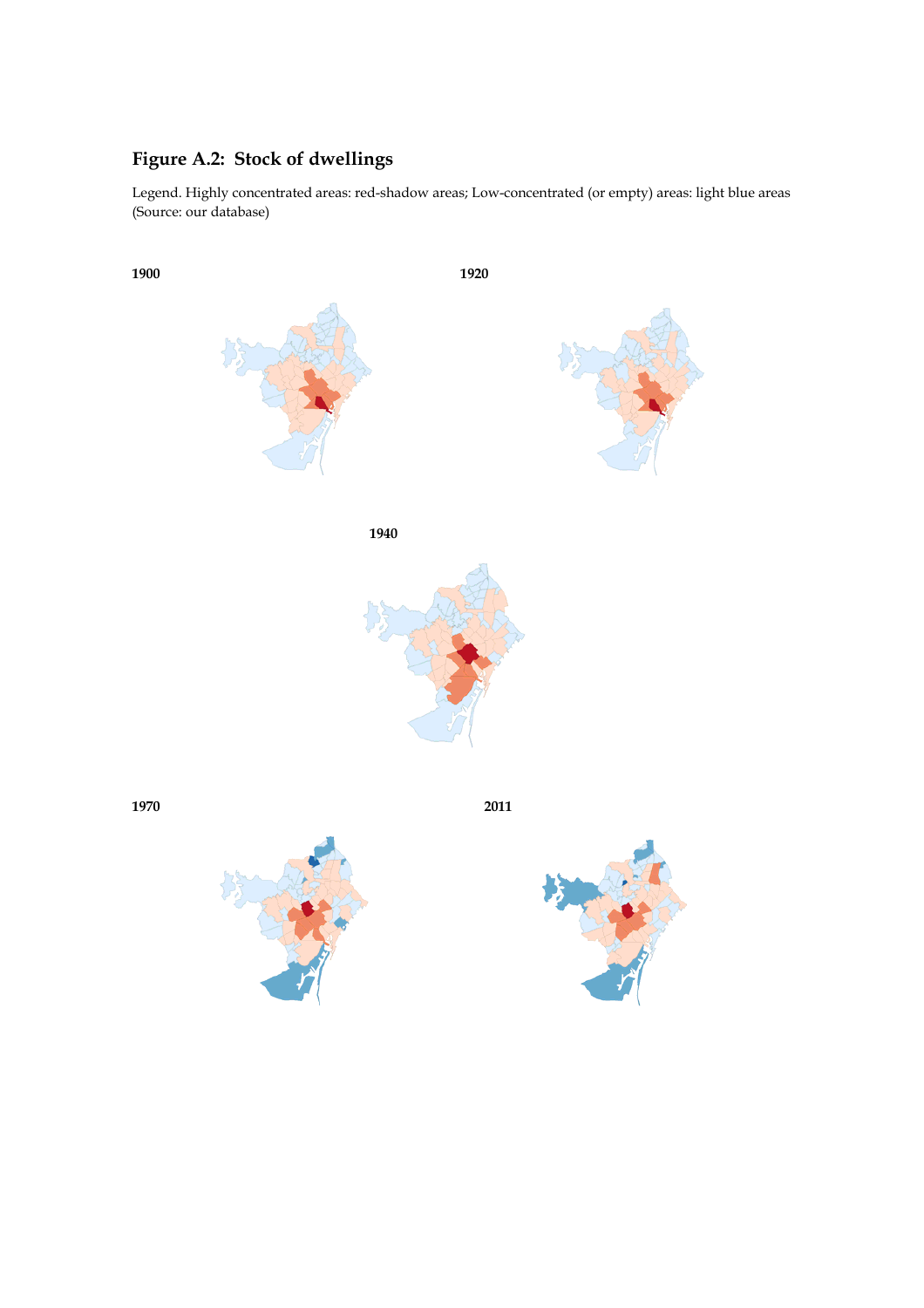## **Figure A.2: Stock of dwellings**

Legend. Highly concentrated areas: red-shadow areas; Low-concentrated (or empty) areas: light blue areas (Source: our database)

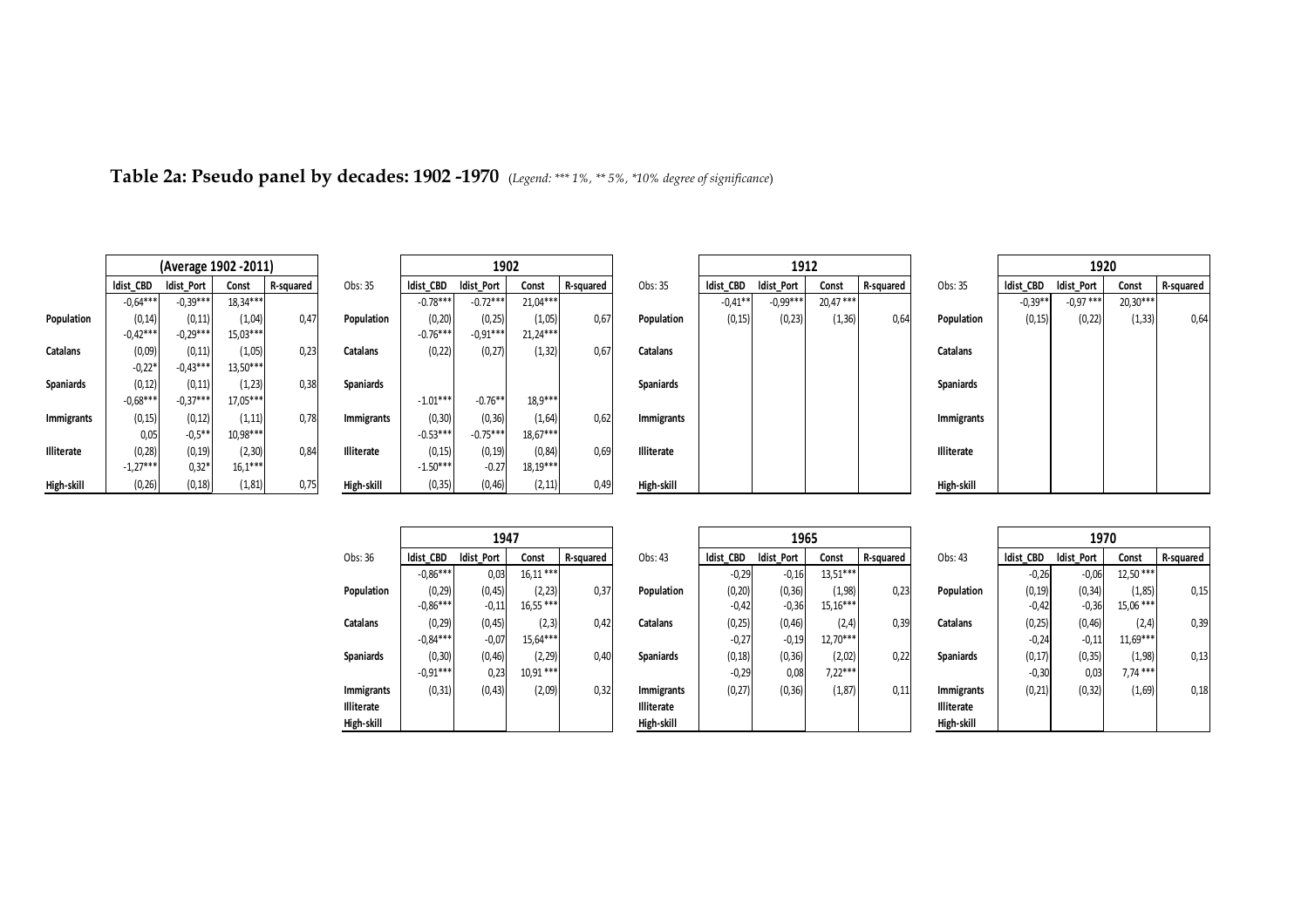|                   |            | (Average 1902 -2011) |           |           |                  |
|-------------------|------------|----------------------|-----------|-----------|------------------|
|                   | Idist CBD  | <b>Idist Port</b>    | Const     | R-squared | Obs: 35          |
|                   | $-0,64***$ | $-0,39***$           | 18,34***  |           |                  |
| Population        | (0, 14)    | (0, 11)              | (1,04)    | 0,47      | Population       |
|                   | $-0,42***$ | $-0,29***$           | 15,03***  |           |                  |
| Catalans          | (0,09)     | (0, 11)              | (1,05)    | 0,23      | Catalans         |
|                   | $-0,22*$   | $-0.43***$           | 13,50***  |           |                  |
| <b>Spaniards</b>  | (0, 12)    | (0, 11)              | (1, 23)   | 0,38      | <b>Spaniards</b> |
|                   | $-0.68***$ | $-0,37***$           | 17,05***  |           |                  |
| <b>Immigrants</b> | (0, 15)    | (0, 12)              | (1, 11)   | 0,78      | Immigrants       |
|                   | 0,05       | $-0.5***$            | 10,98***  |           |                  |
| Illiterate        | (0, 28)    | (0, 19)              | (2, 30)   | 0,84      | Illiterate       |
|                   | $-1,27***$ | $0.32*$              | $16,1***$ |           |                  |
| High-skill        | (0, 26)    | (0, 18)              | (1, 81)   | 0,75      | High-skill       |

**Table 2a: Pseudo panel by decades: 1902 -1970** (*Legend: \*\*\* 1%, \*\* 5%, \*10% degree of significance*)

|            | (Average 1902 -2011) |            |           |                   |            | 190Z              |            |           |            |           | 191Z              |             |           |                   | 19ZU      |                   |            |           |
|------------|----------------------|------------|-----------|-------------------|------------|-------------------|------------|-----------|------------|-----------|-------------------|-------------|-----------|-------------------|-----------|-------------------|------------|-----------|
| ldist CBD  | Idist Port           | Const      | R-squared | Obs: 35           | Idist CBD  | <b>Idist Port</b> | Const      | R-squared | Obs: 35    | Idist CBD | <b>Idist Port</b> | Const       | R-squared | Obs: 35           | Idist CBD | <b>Idist Port</b> | Const      | R-squared |
| $-0.64***$ | $-0.39***$           | 18,34***   |           |                   | $-0.78***$ | $-0.72***$        | $21,04***$ |           |            | $-0.41**$ | $-0.99***$        | $20,47$ *** |           |                   | $-0.39**$ | $-0.97***$        | $20,30***$ |           |
| (0, 14)    | (0, 11)              | (1,04)     | 0.47      | Population        | (0, 20)    | (0, 25)           | (1,05)     | 0,67      | Population | (0, 15)   | (0, 23)           | (1, 36)     | 0,64      | Population        | (0, 15)   | (0, 22)           | (1, 33)    | 0,6       |
| $-0.42***$ | $-0.29***$           | 15,03***   |           |                   | $-0.76***$ | $-0.91***$        | $21,24***$ |           |            |           |                   |             |           |                   |           |                   |            |           |
| (0,09)     | (0, 11)              | (1,05)     | 0.23      | Catalans          | (0, 22)    | (0, 27)           | (1, 32)    | 0,67      | Catalans   |           |                   |             |           | Catalans          |           |                   |            |           |
| $-0,22*$   | $-0.43***$           | $13,50***$ |           |                   |            |                   |            |           |            |           |                   |             |           |                   |           |                   |            |           |
| (0, 12)    | (0, 11)              | (1, 23)    | 0.38      | Spaniards         |            |                   |            |           | Spaniards  |           |                   |             |           | <b>Spaniards</b>  |           |                   |            |           |
| $-0.68***$ | $-0.37***$           | 17,05***   |           |                   | $-1.01***$ | $-0.76**$         | 18,9***    |           |            |           |                   |             |           |                   |           |                   |            |           |
| (0, 15)    | (0, 12)              | (1, 11)    | 0.78      | <b>Immigrants</b> | (0, 30)    | (0, 36)           | (1,64)     | 0,62      | Immigrants |           |                   |             |           | <b>Immigrants</b> |           |                   |            |           |
| 0,05       | $-0.5***$            | 10,98***   |           |                   | $-0.53***$ | $-0.75***$        | 18,67***   |           |            |           |                   |             |           |                   |           |                   |            |           |
| (0, 28)    | (0, 19)              | (2, 30)    | 0.84      | Illiterate        | (0, 15)    | (0, 19)           | (0, 84)    | 0,69      | Illiterate |           |                   |             |           | Illiterate        |           |                   |            |           |
| $-1,27***$ | $0.32*$              | $16.1***$  |           |                   | $-1.50***$ | $-0.27$           | 18,19***   |           |            |           |                   |             |           |                   |           |                   |            |           |
| (0, 26)    | (0, 18)              | (1, 81)    | 0,75      | High-skill        | (0, 35)    | (0, 46)           | (2, 11)    | 0,49      | High-skill |           |                   |             |           | High-skill        |           |                   |            |           |

| (Average 1902 - 2011) |            |           |                   |            | 1902       |          |           |                 |           | 1912              |          |           |                   |           | 1920       |  |
|-----------------------|------------|-----------|-------------------|------------|------------|----------|-----------|-----------------|-----------|-------------------|----------|-----------|-------------------|-----------|------------|--|
| <b>Idist Port</b>     | Const      | R-squared | Obs: 35           | Idist CBD  | Idist Port | Const    | R-squared | Obs: 35         | Idist CBD | <b>Idist Port</b> | Const    | R-squared | Obs: 35           | Idist CBD | Idist Port |  |
| $-0,39***$            | 18,34***   |           |                   | $-0.78***$ | $-0.72***$ | 21,04*** |           |                 | $-0.41**$ | $-0.99***$        | 20,47*** |           |                   | $-0.39**$ | $-0.97***$ |  |
| (0, 11)               | (1,04)     | 0,47      | Population        | (0, 20)    | (0, 25)    | (1,05)   | 0,67      | Population      | (0, 15)   | (0, 23)           | (1, 36)  | 0,64      | Population        | (0, 15)   | (0, 22)    |  |
| $-0,29***$            | $15,03***$ |           |                   | $-0.76***$ | $-0.91***$ | 21,24*** |           |                 |           |                   |          |           |                   |           |            |  |
| (0, 11)               | (1,05)     | 0,23      | Catalans          | (0, 22)    | (0, 27)    | (1, 32)  | 0,67      | <b>Catalans</b> |           |                   |          |           | <b>Catalans</b>   |           |            |  |
| $-0.43***$            | $13,50***$ |           |                   |            |            |          |           |                 |           |                   |          |           |                   |           |            |  |
| (0, 11)               | (1, 23)    | 0,38      | <b>Spaniards</b>  |            |            |          |           | Spaniards       |           |                   |          |           | Spaniards         |           |            |  |
| $-0,37***$            | $17,05***$ |           |                   | $-1.01***$ | $-0.76**$  | 18,9***  |           |                 |           |                   |          |           |                   |           |            |  |
| (0, 12)               | (1, 11)    | 0,78      | <b>Immigrants</b> | (0, 30)    | (0, 36)    | (1,64)   | 0,62      | Immigrants      |           |                   |          |           | <b>Immigrants</b> |           |            |  |
| $-0.5***$             | 10,98***   |           |                   | $-0.53***$ | $-0.75***$ | 18,67*** |           |                 |           |                   |          |           |                   |           |            |  |
| (0, 19)               | (2, 30)    | 0,84      | Illiterate        | (0, 15)    | (0, 19)    | (0, 84)  | 0,69      | Illiterate      |           |                   |          |           | Illiterate        |           |            |  |
| $0,32*$               | $16,1***$  |           |                   | $-1.50***$ | $-0.27$    | 18,19*** |           |                 |           |                   |          |           |                   |           |            |  |
| (0, 18)               | (1, 81)    | 0,75      | High-skill        | (0, 35)    | (0, 46)    | (2, 11)  | 0,49      | High-skill      |           |                   |          |           | High-skill        |           |            |  |

|                   |           | 1920              |          |           |
|-------------------|-----------|-------------------|----------|-----------|
| Obs: 35           | Idist CBD | <b>Idist Port</b> | Const    | R-squared |
|                   | $-0.39**$ | $-0.97***$        | 20,30*** |           |
| Population        | (0, 15)   | (0, 22)           | (1, 33)  | 0,64      |
| Catalans          |           |                   |          |           |
| <b>Spaniards</b>  |           |                   |          |           |
| <b>Immigrants</b> |           |                   |          |           |
| <b>Illiterate</b> |           |                   |          |           |
| High-skill        |           |                   |          |           |

|                   |            | 1947              |             |           |                  |           |            | 1965       |           |                  | 1970      |                   |            |           |
|-------------------|------------|-------------------|-------------|-----------|------------------|-----------|------------|------------|-----------|------------------|-----------|-------------------|------------|-----------|
| Obs: 36           | Idist CBD  | <b>Idist Port</b> | Const       | R-squared | Obs: 43          | Idist CBD | Idist Port | Const      | R-squared | Obs: 43          | Idist CBD | <b>Idist Port</b> | Const      | R-squared |
|                   | $-0.86***$ | 0,03              | $16,11***$  |           |                  | $-0,29$   | $-0,16$    | $13,51***$ |           |                  | $-0,26$   | $-0,06$           | $12,50***$ |           |
| Population        | (0, 29)    | (0, 45)           | (2, 23)     | 0.37      | Population       | (0, 20)   | (0, 36)    | (1,98)     | 0,23      | Population       | (0, 19)   | (0, 34)           | 1,85)      | 0,15      |
|                   | $-0.86***$ | $-0,11$           | 16,55***    |           |                  | $-0,42$   | $-0,36$    | 15,16***   |           |                  | $-0,42$   | $-0,36$           | 15,06 ***  |           |
| Catalans          | (0, 29)    | (0, 45)           | (2,3)       | 0.42      | Catalans         | (0, 25)   | (0, 46)    | (2, 4)     | 0,39      | Catalans         | (0, 25)   | (0, 46)           | (2, 4)     | 0,39      |
|                   | $-0.84***$ | $-0,07$           | 15,64***    |           |                  | $-0,27$   | $-0,19$    | $12,70***$ |           |                  | $-0,24$   | $-0,11$           | $11,69***$ |           |
| Spaniards         | (0, 30)    | (0, 46)           | (2, 29)     | 0.40      | <b>Spaniards</b> | (0, 18)   | (0, 36)    | (2,02)     | 0,22      | <b>Spaniards</b> | (0, 17)   | (0, 35)           | (1, 98)    | 0,13      |
|                   | $-0.91***$ | 0,23              | $10,91$ *** |           |                  | $-0,29$   | 0,08       | $7.22***$  |           |                  | $-0,30$   | 0,03              | $7,74***$  |           |
| <b>Immigrants</b> | (0, 31)    | (0, 43)           | (2,09)      | 0,32      | Immigrants       | (0, 27)   | (0, 36)    | (1, 87)    | 0,11      | Immigrants       | (0, 21)   | (0, 32)           | (1,69)     | 0,18      |
| Illiterate        |            |                   |             |           | lliterate        |           |            |            |           | Illiterate       |           |                   |            |           |
| High-skill        |            |                   |             |           | High-skill       |           |            |            |           | High-skill       |           |                   |            |           |